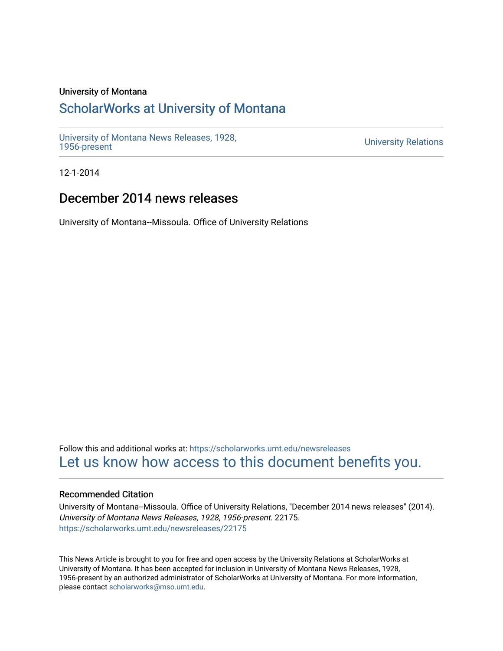#### University of Montana

### [ScholarWorks at University of Montana](https://scholarworks.umt.edu/)

[University of Montana News Releases, 1928,](https://scholarworks.umt.edu/newsreleases) 

**University Relations** 

12-1-2014

### December 2014 news releases

University of Montana--Missoula. Office of University Relations

Follow this and additional works at: [https://scholarworks.umt.edu/newsreleases](https://scholarworks.umt.edu/newsreleases?utm_source=scholarworks.umt.edu%2Fnewsreleases%2F22175&utm_medium=PDF&utm_campaign=PDFCoverPages) [Let us know how access to this document benefits you.](https://goo.gl/forms/s2rGfXOLzz71qgsB2) 

#### Recommended Citation

University of Montana--Missoula. Office of University Relations, "December 2014 news releases" (2014). University of Montana News Releases, 1928, 1956-present. 22175. [https://scholarworks.umt.edu/newsreleases/22175](https://scholarworks.umt.edu/newsreleases/22175?utm_source=scholarworks.umt.edu%2Fnewsreleases%2F22175&utm_medium=PDF&utm_campaign=PDFCoverPages) 

This News Article is brought to you for free and open access by the University Relations at ScholarWorks at University of Montana. It has been accepted for inclusion in University of Montana News Releases, 1928, 1956-present by an authorized administrator of ScholarWorks at University of Montana. For more information, please contact [scholarworks@mso.umt.edu.](mailto:scholarworks@mso.umt.edu)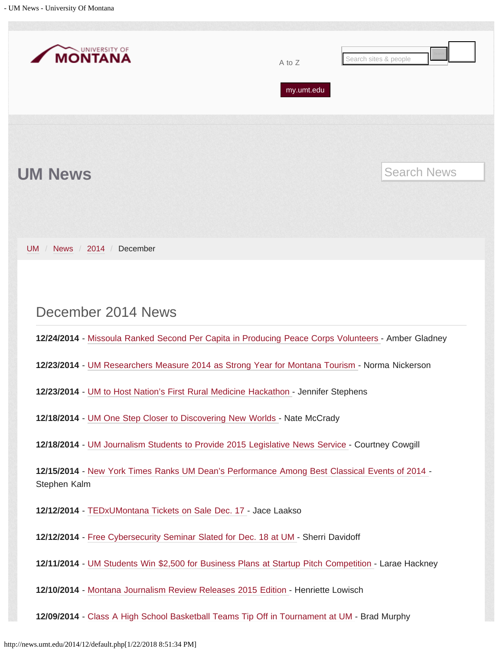<span id="page-1-0"></span>

| UNIVERSITY OF<br><b>MONTANA</b>                                                                                                                                                                                                                                                                                                                                                                                                                                                                                                                                                                                  | A to Z<br>my.umt.edu | Search sites & people |
|------------------------------------------------------------------------------------------------------------------------------------------------------------------------------------------------------------------------------------------------------------------------------------------------------------------------------------------------------------------------------------------------------------------------------------------------------------------------------------------------------------------------------------------------------------------------------------------------------------------|----------------------|-----------------------|
| <b>UM News</b>                                                                                                                                                                                                                                                                                                                                                                                                                                                                                                                                                                                                   |                      | <b>Search News</b>    |
| December<br><b>UM</b><br>News / 2014 /                                                                                                                                                                                                                                                                                                                                                                                                                                                                                                                                                                           |                      |                       |
| December 2014 News<br>12/24/2014 - Missoula Ranked Second Per Capita in Producing Peace Corps Volunteers - Amber Gladney<br>12/23/2014 - UM Researchers Measure 2014 as Strong Year for Montana Tourism - Norma Nickerson<br>12/23/2014 - UM to Host Nation's First Rural Medicine Hackathon - Jennifer Stephens<br>12/18/2014 - UM One Step Closer to Discovering New Worlds - Nate McCrady<br>12/18/2014 - UM Journalism Students to Provide 2015 Legislative News Service - Courtney Cowgill<br>12/15/2014 - New York Times Ranks UM Dean's Performance Among Best Classical Events of 2014 -<br>Stephen Kalm |                      |                       |
| 12/12/2014 - TEDxUMontana Tickets on Sale Dec. 17 - Jace Laakso                                                                                                                                                                                                                                                                                                                                                                                                                                                                                                                                                  |                      |                       |
| 12/12/2014 - Free Cybersecurity Seminar Slated for Dec. 18 at UM - Sherri Davidoff                                                                                                                                                                                                                                                                                                                                                                                                                                                                                                                               |                      |                       |
| 12/11/2014 - UM Students Win \$2,500 for Business Plans at Startup Pitch Competition - Larae Hackney<br>12/10/2014 - Montana Journalism Review Releases 2015 Edition - Henriette Lowisch                                                                                                                                                                                                                                                                                                                                                                                                                         |                      |                       |
| 12/09/2014 - Class A High School Basketball Teams Tip Off in Tournament at UM - Brad Murphy                                                                                                                                                                                                                                                                                                                                                                                                                                                                                                                      |                      |                       |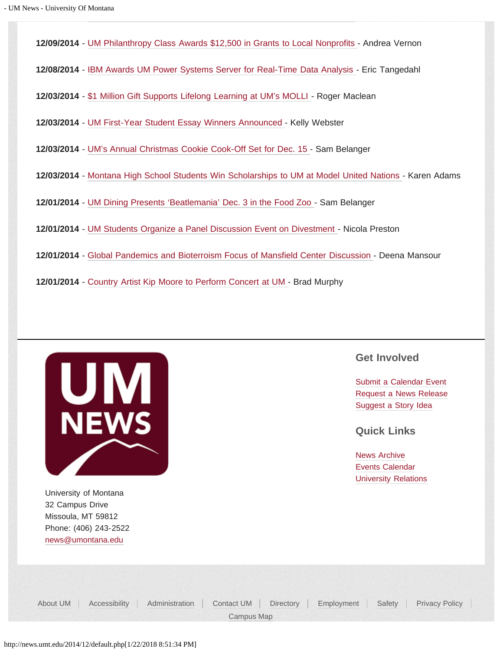**12/09/2014** - [UM Philanthropy Class Awards \\$12,500 in Grants to Local Nonprofits -](#page-33-0) Andrea Vernon

**12/08/2014** - [IBM Awards UM Power Systems Server for Real-Time Data Analysis -](#page-36-0) Eric Tangedahl

**12/03/2014** - [\\$1 Million Gift Supports Lifelong Learning at UM's MOLLI](#page-39-0) - Roger Maclean

**12/03/2014** - [UM First-Year Student Essay Winners Announced -](#page-42-0) Kelly Webster

**12/03/2014** - [UM's Annual Christmas Cookie Cook-Off Set for Dec. 15 -](#page-45-0) Sam Belanger

**12/03/2014** - [Montana High School Students Win Scholarships to UM at Model United Nations](#page-47-0) - Karen Adams

**12/01/2014** - [UM Dining Presents 'Beatlemania' Dec. 3 in the Food Zoo -](#page-50-0) Sam Belanger

- **12/01/2014** [UM Students Organize a Panel Discussion Event on Divestment -](#page-53-0) Nicola Preston
- **12/01/2014** [Global Pandemics and Bioterroism Focus of Mansfield Center Discussion -](#page-55-0) Deena Mansour
- **12/01/2014** [Country Artist Kip Moore to Perform Concert at UM -](#page-58-0) Brad Murphy



University of Montana 32 Campus Drive Missoula, MT 59812 Phone: (406) 243-2522 [news@umontana.edu](mailto:news@umontana.edu)

#### **Get Involved**

[Submit a Calendar Event](http://umt.edu/urelations/info/submit_event.php) [Request a News Release](mailto:news@umontana.edu) [Suggest a Story Idea](mailto:thrive@umontana.edu)

**Quick Links**

[News Archive](http://www.umt.edu/urelations/pubs/NewsArchives.php) [Events Calendar](http://events.umt.edu/) [University Relations](http://www.umt.edu/urelations/)

[About UM](http://www.umt.edu/about) [Accessibility](http://www.umt.edu/accessibility/) [Administration](http://www.umt.edu/administration) [Contact UM](http://www.umt.edu/comments) [Directory](http://www.umt.edu/directory) [Employment](http://www.umt.edu/jobs) [Safety](http://www.umt.edu/safety/) [Privacy Policy](http://umt.edu/privacy/)

[Campus Map](http://map.umt.edu/)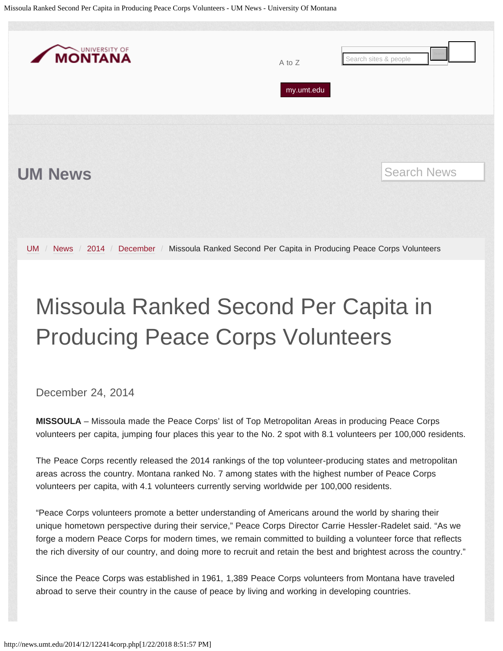<span id="page-4-0"></span>Missoula Ranked Second Per Capita in Producing Peace Corps Volunteers - UM News - University Of Montana



# Missoula Ranked Second Per Capita in Producing Peace Corps Volunteers

December 24, 2014

**MISSOULA** – Missoula made the Peace Corps' list of Top Metropolitan Areas in producing Peace Corps volunteers per capita, jumping four places this year to the No. 2 spot with 8.1 volunteers per 100,000 residents.

The Peace Corps recently released the 2014 rankings of the top volunteer-producing states and metropolitan areas across the country. Montana ranked No. 7 among states with the highest number of Peace Corps volunteers per capita, with 4.1 volunteers currently serving worldwide per 100,000 residents.

"Peace Corps volunteers promote a better understanding of Americans around the world by sharing their unique hometown perspective during their service," Peace Corps Director Carrie Hessler-Radelet said. "As we forge a modern Peace Corps for modern times, we remain committed to building a volunteer force that reflects the rich diversity of our country, and doing more to recruit and retain the best and brightest across the country."

Since the Peace Corps was established in 1961, 1,389 Peace Corps volunteers from Montana have traveled abroad to serve their country in the cause of peace by living and working in developing countries.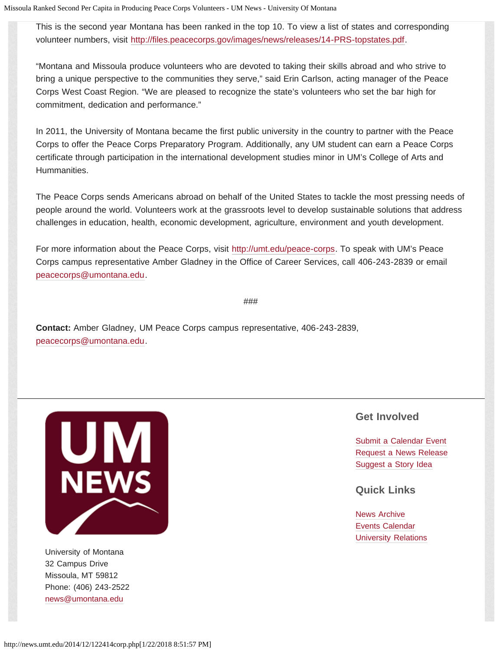This is the second year Montana has been ranked in the top 10. To view a list of states and corresponding volunteer numbers, visit<http://files.peacecorps.gov/images/news/releases/14-PRS-topstates.pdf>.

"Montana and Missoula produce volunteers who are devoted to taking their skills abroad and who strive to bring a unique perspective to the communities they serve," said Erin Carlson, acting manager of the Peace Corps West Coast Region. "We are pleased to recognize the state's volunteers who set the bar high for commitment, dedication and performance."

In 2011, the University of Montana became the first public university in the country to partner with the Peace Corps to offer the Peace Corps Preparatory Program. Additionally, any UM student can earn a Peace Corps certificate through participation in the international development studies minor in UM's College of Arts and Hummanities.

The Peace Corps sends Americans abroad on behalf of the United States to tackle the most pressing needs of people around the world. Volunteers work at the grassroots level to develop sustainable solutions that address challenges in education, health, economic development, agriculture, environment and youth development.

For more information about the Peace Corps, visit<http://umt.edu/peace-corps>. To speak with UM's Peace Corps campus representative Amber Gladney in the Office of Career Services, call 406-243-2839 or email [peacecorps@umontana.edu.](mailto:peacecorps@umontana.edu)

###

**Contact:** Amber Gladney, UM Peace Corps campus representative, 406-243-2839, [peacecorps@umontana.edu.](mailto:peacecorps@umontana.edu)



University of Montana 32 Campus Drive Missoula, MT 59812 Phone: (406) 243-2522 [news@umontana.edu](mailto:news@umontana.edu)

#### **Get Involved**

[Submit a Calendar Event](http://umt.edu/urelations/info/submit_event.php) [Request a News Release](mailto:news@umontana.edu) [Suggest a Story Idea](mailto:thrive@umontana.edu)

#### **Quick Links**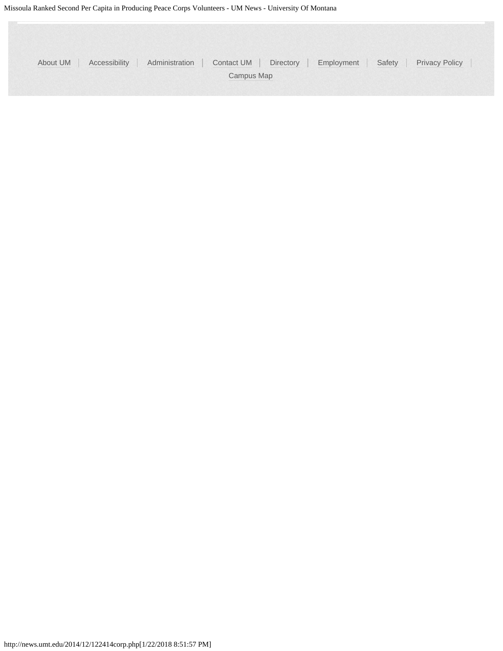| About UM | Accessibility | Administration | Contact UM<br>Campus Map | Directory | Employment | Safety | <b>Privacy Policy</b> |
|----------|---------------|----------------|--------------------------|-----------|------------|--------|-----------------------|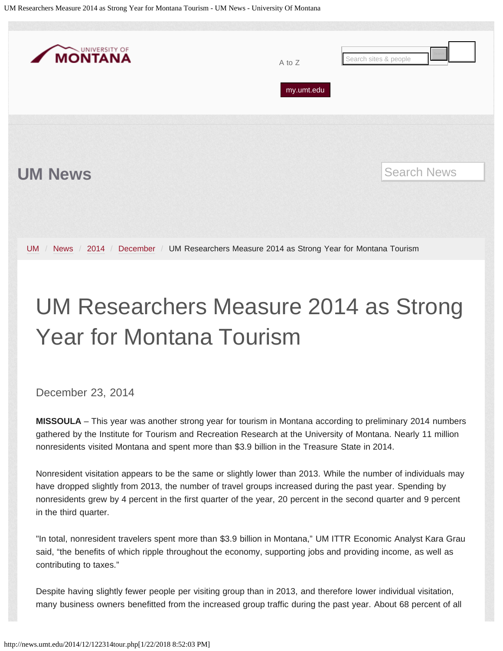<span id="page-7-0"></span>UM Researchers Measure 2014 as Strong Year for Montana Tourism - UM News - University Of Montana



### UM Researchers Measure 2014 as Strong Year for Montana Tourism

December 23, 2014

**MISSOULA** – This year was another strong year for tourism in Montana according to preliminary 2014 numbers gathered by the Institute for Tourism and Recreation Research at the University of Montana. Nearly 11 million nonresidents visited Montana and spent more than \$3.9 billion in the Treasure State in 2014.

Nonresident visitation appears to be the same or slightly lower than 2013. While the number of individuals may have dropped slightly from 2013, the number of travel groups increased during the past year. Spending by nonresidents grew by 4 percent in the first quarter of the year, 20 percent in the second quarter and 9 percent in the third quarter.

"In total, nonresident travelers spent more than \$3.9 billion in Montana," UM ITTR Economic Analyst Kara Grau said, "the benefits of which ripple throughout the economy, supporting jobs and providing income, as well as contributing to taxes."

Despite having slightly fewer people per visiting group than in 2013, and therefore lower individual visitation, many business owners benefitted from the increased group traffic during the past year. About 68 percent of all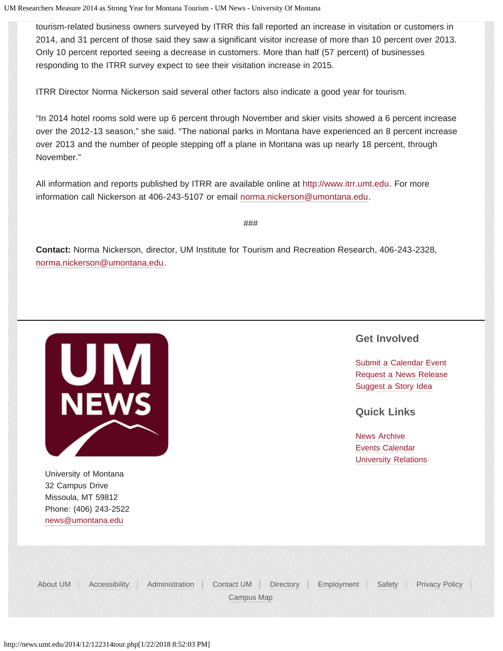tourism-related business owners surveyed by ITRR this fall reported an increase in visitation or customers in 2014, and 31 percent of those said they saw a significant visitor increase of more than 10 percent over 2013. Only 10 percent reported seeing a decrease in customers. More than half (57 percent) of businesses responding to the ITRR survey expect to see their visitation increase in 2015.

ITRR Director Norma Nickerson said several other factors also indicate a good year for tourism.

"In 2014 hotel rooms sold were up 6 percent through November and skier visits showed a 6 percent increase over the 2012-13 season," she said. "The national parks in Montana have experienced an 8 percent increase over 2013 and the number of people stepping off a plane in Montana was up nearly 18 percent, through November."

All information and reports published by ITRR are available online at [http://www.itrr.umt.edu.](http://www.itrr.umt.edu/) For more information call Nickerson at 406-243-5107 or email [norma.nickerson@umontana.edu.](mailto:norma.nickerson@umontana.edu)

###

**Contact:** Norma Nickerson, director, UM Institute for Tourism and Recreation Research, 406-243-2328, [norma.nickerson@umontana.edu.](mailto:norma.nickerson@umontana.edu)



University of Montana 32 Campus Drive Missoula, MT 59812 Phone: (406) 243-2522 [news@umontana.edu](mailto:news@umontana.edu)

#### **Get Involved**

[Submit a Calendar Event](http://umt.edu/urelations/info/submit_event.php) [Request a News Release](mailto:news@umontana.edu) [Suggest a Story Idea](mailto:thrive@umontana.edu)

#### **Quick Links**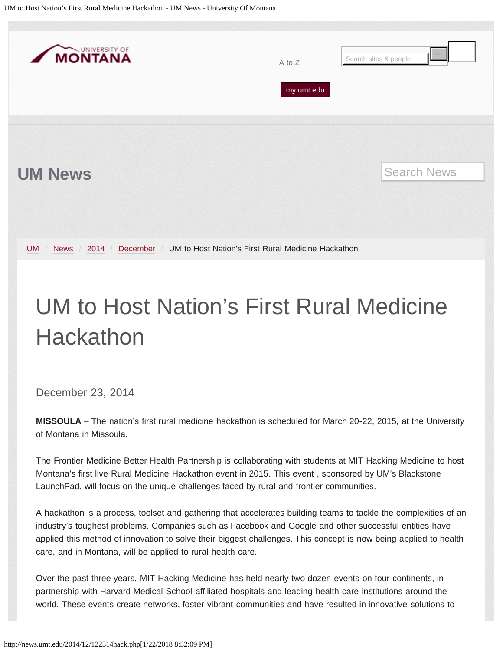<span id="page-9-0"></span>

# UM to Host Nation's First Rural Medicine **Hackathon**

#### December 23, 2014

**MISSOULA** – The nation's first rural medicine hackathon is scheduled for March 20-22, 2015, at the University of Montana in Missoula.

The Frontier Medicine Better Health Partnership is collaborating with students at MIT Hacking Medicine to host Montana's first live Rural Medicine Hackathon event in 2015. This event , sponsored by UM's Blackstone LaunchPad, will focus on the unique challenges faced by rural and frontier communities.

A hackathon is a process, toolset and gathering that accelerates building teams to tackle the complexities of an industry's toughest problems. Companies such as Facebook and Google and other successful entities have applied this method of innovation to solve their biggest challenges. This concept is now being applied to health care, and in Montana, will be applied to rural health care.

Over the past three years, MIT Hacking Medicine has held nearly two dozen events on four continents, in partnership with Harvard Medical School-affiliated hospitals and leading health care institutions around the world. These events create networks, foster vibrant communities and have resulted in innovative solutions to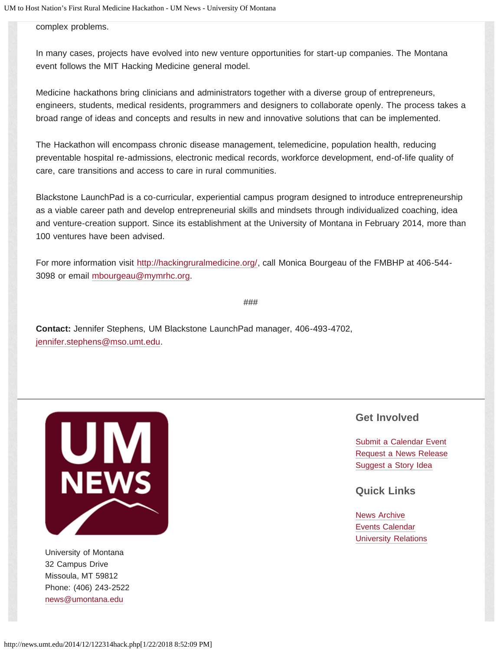complex problems.

In many cases, projects have evolved into new venture opportunities for start-up companies. The Montana event follows the MIT Hacking Medicine general model.

Medicine hackathons bring clinicians and administrators together with a diverse group of entrepreneurs, engineers, students, medical residents, programmers and designers to collaborate openly. The process takes a broad range of ideas and concepts and results in new and innovative solutions that can be implemented.

The Hackathon will encompass chronic disease management, telemedicine, population health, reducing preventable hospital re-admissions, electronic medical records, workforce development, end-of-life quality of care, care transitions and access to care in rural communities.

Blackstone LaunchPad is a co-curricular, experiential campus program designed to introduce entrepreneurship as a viable career path and develop entrepreneurial skills and mindsets through individualized coaching, idea and venture-creation support. Since its establishment at the University of Montana in February 2014, more than 100 ventures have been advised.

For more information visit [http://hackingruralmedicine.org/,](http://hackingruralmedicine.org/) call Monica Bourgeau of the FMBHP at 406-544- 3098 or email [mbourgeau@mymrhc.org](mailto:mbourgeau@mymrhc.org).

###

**Contact:** Jennifer Stephens, UM Blackstone LaunchPad manager, 406-493-4702, [jennifer.stephens@mso.umt.edu.](mailto:jennifer.stephens@mso.umt.edu)



University of Montana 32 Campus Drive Missoula, MT 59812 Phone: (406) 243-2522 [news@umontana.edu](mailto:news@umontana.edu)

#### **Get Involved**

[Submit a Calendar Event](http://umt.edu/urelations/info/submit_event.php) [Request a News Release](mailto:news@umontana.edu) [Suggest a Story Idea](mailto:thrive@umontana.edu)

**Quick Links**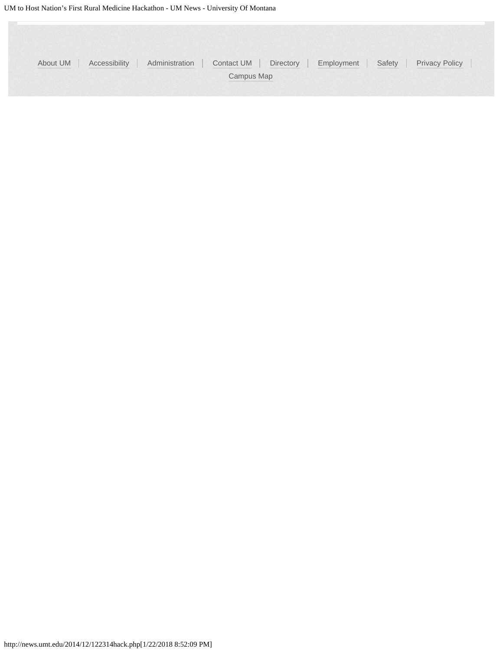| About UM | Accessibility | Administration | Contact UM | Directory | Employment | Safety | <b>Privacy Policy</b> |
|----------|---------------|----------------|------------|-----------|------------|--------|-----------------------|
|          |               |                | Campus Map |           |            |        |                       |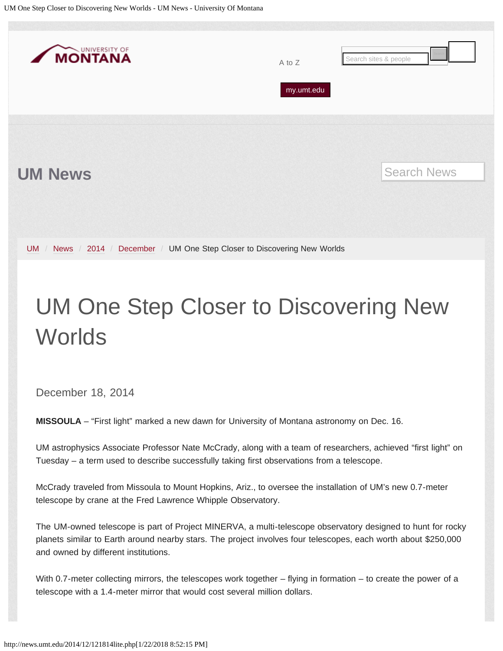<span id="page-12-0"></span>

# UM One Step Closer to Discovering New **Worlds**

December 18, 2014

**MISSOULA** – "First light" marked a new dawn for University of Montana astronomy on Dec. 16.

UM astrophysics Associate Professor Nate McCrady, along with a team of researchers, achieved "first light" on Tuesday – a term used to describe successfully taking first observations from a telescope.

McCrady traveled from Missoula to Mount Hopkins, Ariz., to oversee the installation of UM's new 0.7-meter telescope by crane at the Fred Lawrence Whipple Observatory.

The UM-owned telescope is part of Project MINERVA, a multi-telescope observatory designed to hunt for rocky planets similar to Earth around nearby stars. The project involves four telescopes, each worth about \$250,000 and owned by different institutions.

With 0.7-meter collecting mirrors, the telescopes work together – flying in formation – to create the power of a telescope with a 1.4-meter mirror that would cost several million dollars.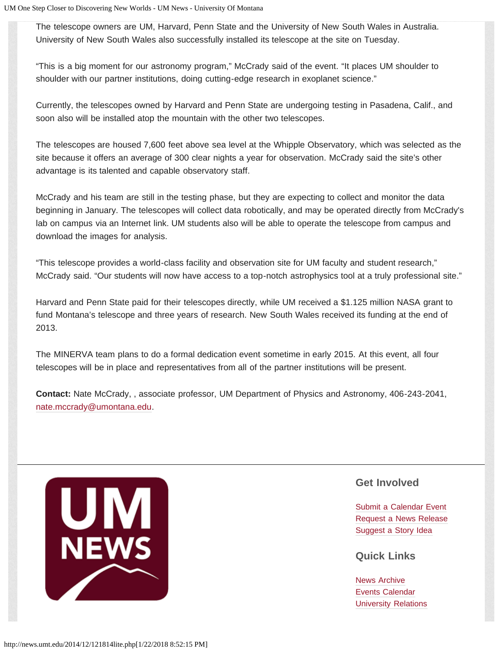The telescope owners are UM, Harvard, Penn State and the University of New South Wales in Australia. University of New South Wales also successfully installed its telescope at the site on Tuesday.

"This is a big moment for our astronomy program," McCrady said of the event. "It places UM shoulder to shoulder with our partner institutions, doing cutting-edge research in exoplanet science."

Currently, the telescopes owned by Harvard and Penn State are undergoing testing in Pasadena, Calif., and soon also will be installed atop the mountain with the other two telescopes.

The telescopes are housed 7,600 feet above sea level at the Whipple Observatory, which was selected as the site because it offers an average of 300 clear nights a year for observation. McCrady said the site's other advantage is its talented and capable observatory staff.

McCrady and his team are still in the testing phase, but they are expecting to collect and monitor the data beginning in January. The telescopes will collect data robotically, and may be operated directly from McCrady's lab on campus via an Internet link. UM students also will be able to operate the telescope from campus and download the images for analysis.

"This telescope provides a world-class facility and observation site for UM faculty and student research," McCrady said. "Our students will now have access to a top-notch astrophysics tool at a truly professional site."

Harvard and Penn State paid for their telescopes directly, while UM received a \$1.125 million NASA grant to fund Montana's telescope and three years of research. New South Wales received its funding at the end of 2013.

The MINERVA team plans to do a formal dedication event sometime in early 2015. At this event, all four telescopes will be in place and representatives from all of the partner institutions will be present.

**Contact:** Nate McCrady, , associate professor, UM Department of Physics and Astronomy, 406-243-2041, [nate.mccrady@umontana.edu.](mailto:nate.mccrady@umontana.edu)



#### **Get Involved**

[Submit a Calendar Event](http://umt.edu/urelations/info/submit_event.php) [Request a News Release](mailto:news@umontana.edu) [Suggest a Story Idea](mailto:thrive@umontana.edu)

**Quick Links**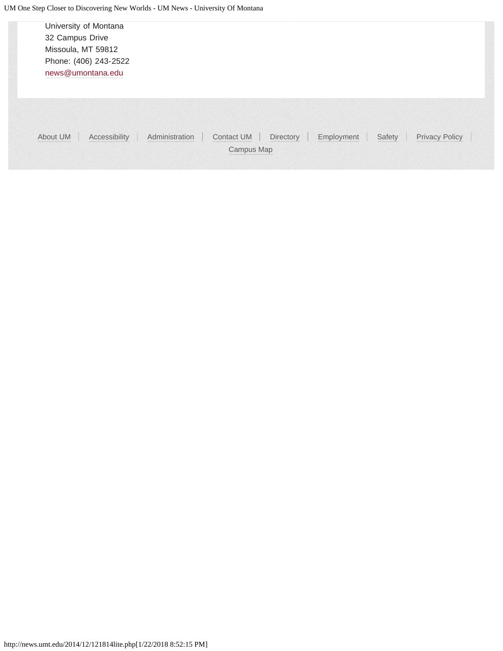University of Montana 32 Campus Drive Missoula, MT 59812 Phone: (406) 243-2522 [news@umontana.edu](mailto:news@umontana.edu)

| About UM   Accessibility   Administration   Contact UM   Directory   Employment   Safety   Privacy Policy |            |  |  |
|-----------------------------------------------------------------------------------------------------------|------------|--|--|
|                                                                                                           | Campus Map |  |  |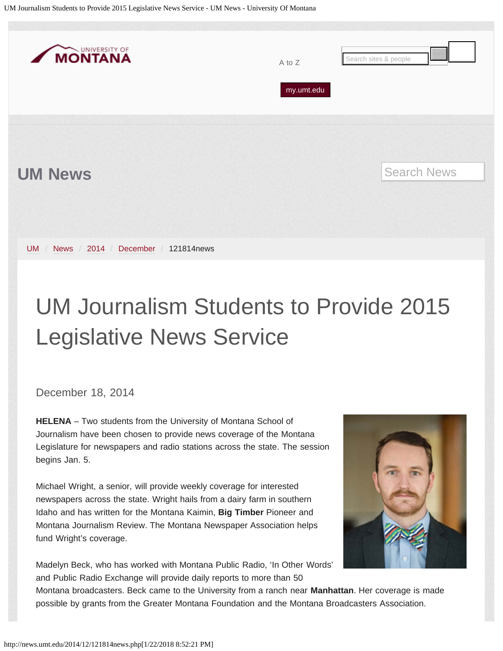<span id="page-15-0"></span>UM Journalism Students to Provide 2015 Legislative News Service - UM News - University Of Montana



### UM Journalism Students to Provide 2015 Legislative News Service

December 18, 2014

**HELENA** – Two students from the University of Montana School of Journalism have been chosen to provide news coverage of the Montana Legislature for newspapers and radio stations across the state. The session begins Jan. 5.

Michael Wright, a senior, will provide weekly coverage for interested newspapers across the state. Wright hails from a dairy farm in southern Idaho and has written for the Montana Kaimin, **Big Timber** Pioneer and Montana Journalism Review. The Montana Newspaper Association helps fund Wright's coverage.

Madelyn Beck, who has worked with Montana Public Radio, 'In Other Words' and Public Radio Exchange will provide daily reports to more than 50



Montana broadcasters. Beck came to the University from a ranch near **Manhattan**. Her coverage is made possible by grants from the Greater Montana Foundation and the Montana Broadcasters Association.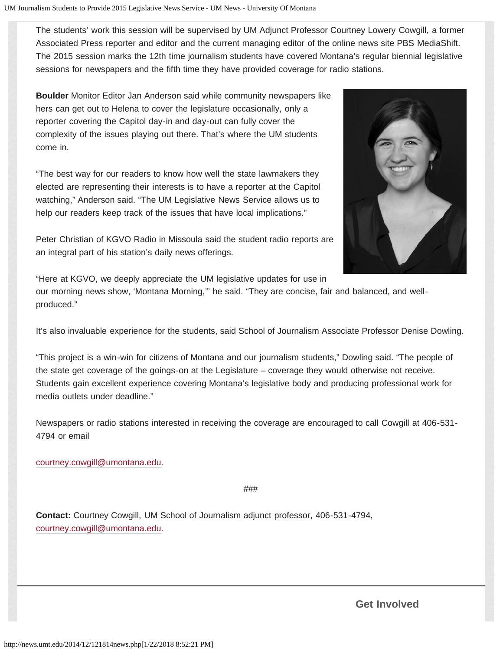The students' work this session will be supervised by UM Adjunct Professor Courtney Lowery Cowgill, a former Associated Press reporter and editor and the current managing editor of the online news site PBS MediaShift. The 2015 session marks the 12th time journalism students have covered Montana's regular biennial legislative sessions for newspapers and the fifth time they have provided coverage for radio stations.

**Boulder** Monitor Editor Jan Anderson said while community newspapers like hers can get out to Helena to cover the legislature occasionally, only a reporter covering the Capitol day-in and day-out can fully cover the complexity of the issues playing out there. That's where the UM students come in.

"The best way for our readers to know how well the state lawmakers they elected are representing their interests is to have a reporter at the Capitol watching," Anderson said. "The UM Legislative News Service allows us to help our readers keep track of the issues that have local implications."



Peter Christian of KGVO Radio in Missoula said the student radio reports are an integral part of his station's daily news offerings.

"Here at KGVO, we deeply appreciate the UM legislative updates for use in

our morning news show, 'Montana Morning,'" he said. "They are concise, fair and balanced, and wellproduced."

It's also invaluable experience for the students, said School of Journalism Associate Professor Denise Dowling.

"This project is a win-win for citizens of Montana and our journalism students," Dowling said. "The people of the state get coverage of the goings-on at the Legislature – coverage they would otherwise not receive. Students gain excellent experience covering Montana's legislative body and producing professional work for media outlets under deadline."

Newspapers or radio stations interested in receiving the coverage are encouraged to call Cowgill at 406-531- 4794 or email

[courtney.cowgill@umontana.edu.](mailto:courtney.cowgill@umontana.edu)

###

**Contact:** Courtney Cowgill, UM School of Journalism adjunct professor, 406-531-4794, [courtney.cowgill@umontana.edu.](mailto:courtney.cowgill@umontana.edu)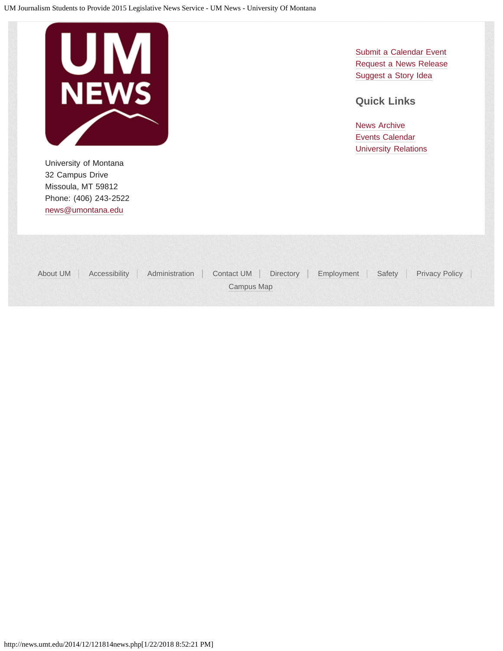

University of Montana 32 Campus Drive Missoula, MT 59812 Phone: (406) 243-2522 [news@umontana.edu](mailto:news@umontana.edu)

[Submit a Calendar Event](http://umt.edu/urelations/info/submit_event.php) [Request a News Release](mailto:news@umontana.edu) [Suggest a Story Idea](mailto:thrive@umontana.edu)

#### **Quick Links**

| About UM | Accessibility Administration Contact UM Directory Employment Safety Privacy Policy |  |
|----------|------------------------------------------------------------------------------------|--|
|          | Campus Map                                                                         |  |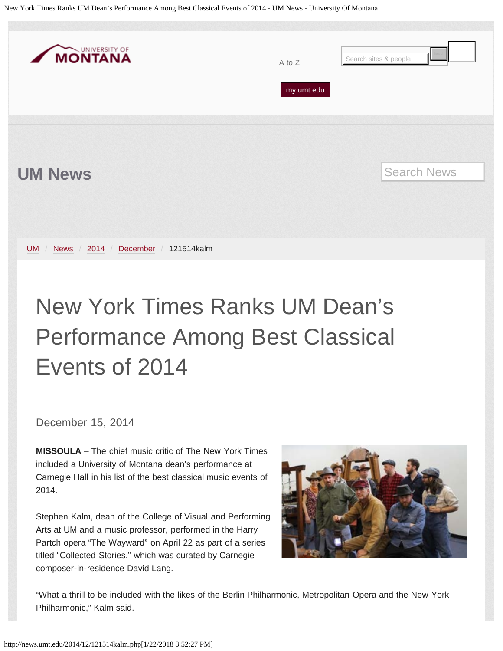<span id="page-18-0"></span>New York Times Ranks UM Dean's Performance Among Best Classical Events of 2014 - UM News - University Of Montana



# New York Times Ranks UM Dean's Performance Among Best Classical Events of 2014

December 15, 2014

**MISSOULA** – The chief music critic of The New York Times included a University of Montana dean's performance at Carnegie Hall in his list of the best classical music events of 2014.

Stephen Kalm, dean of the College of Visual and Performing Arts at UM and a music professor, performed in the Harry Partch opera "The Wayward" on April 22 as part of a series titled "Collected Stories," which was curated by Carnegie composer-in-residence David Lang.



"What a thrill to be included with the likes of the Berlin Philharmonic, Metropolitan Opera and the New York Philharmonic," Kalm said.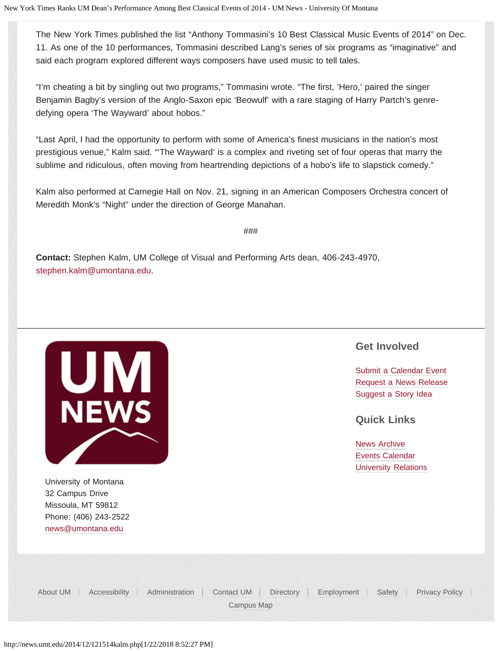The New York Times published the list "Anthony Tommasini's 10 Best Classical Music Events of 2014" on Dec. 11. As one of the 10 performances, Tommasini described Lang's series of six programs as "imaginative" and said each program explored different ways composers have used music to tell tales.

"I'm cheating a bit by singling out two programs," Tommasini wrote. "The first, 'Hero,' paired the singer Benjamin Bagby's version of the Anglo-Saxon epic 'Beowulf' with a rare staging of Harry Partch's genredefying opera 'The Wayward' about hobos."

"Last April, I had the opportunity to perform with some of America's finest musicians in the nation's most prestigious venue," Kalm said. "'The Wayward' is a complex and riveting set of four operas that marry the sublime and ridiculous, often moving from heartrending depictions of a hobo's life to slapstick comedy."

Kalm also performed at Carnegie Hall on Nov. 21, signing in an American Composers Orchestra concert of Meredith Monk's "Night" under the direction of George Manahan.

###

**Contact:** Stephen Kalm, UM College of Visual and Performing Arts dean, 406-243-4970, [stephen.kalm@umontana.edu.](mailto:stephen.kalm@umontana.edu)



University of Montana 32 Campus Drive Missoula, MT 59812 Phone: (406) 243-2522 [news@umontana.edu](mailto:news@umontana.edu)

#### **Get Involved**

[Submit a Calendar Event](http://umt.edu/urelations/info/submit_event.php) [Request a News Release](mailto:news@umontana.edu) [Suggest a Story Idea](mailto:thrive@umontana.edu)

**Quick Links**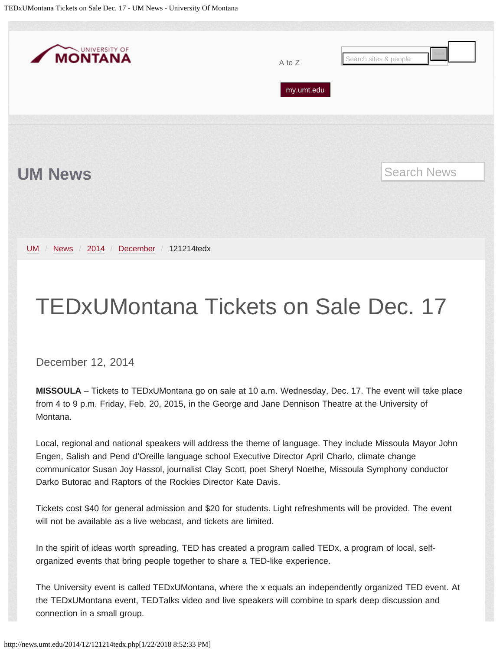<span id="page-21-0"></span>

### TEDxUMontana Tickets on Sale Dec. 17

December 12, 2014

**MISSOULA** – Tickets to TEDxUMontana go on sale at 10 a.m. Wednesday, Dec. 17. The event will take place from 4 to 9 p.m. Friday, Feb. 20, 2015, in the George and Jane Dennison Theatre at the University of Montana.

Local, regional and national speakers will address the theme of language. They include Missoula Mayor John Engen, Salish and Pend d'Oreille language school Executive Director April Charlo, climate change communicator Susan Joy Hassol, journalist Clay Scott, poet Sheryl Noethe, Missoula Symphony conductor Darko Butorac and Raptors of the Rockies Director Kate Davis.

Tickets cost \$40 for general admission and \$20 for students. Light refreshments will be provided. The event will not be available as a live webcast, and tickets are limited.

In the spirit of ideas worth spreading, TED has created a program called TEDx, a program of local, selforganized events that bring people together to share a TED-like experience.

The University event is called TEDxUMontana, where the x equals an independently organized TED event. At the TEDxUMontana event, TEDTalks video and live speakers will combine to spark deep discussion and connection in a small group.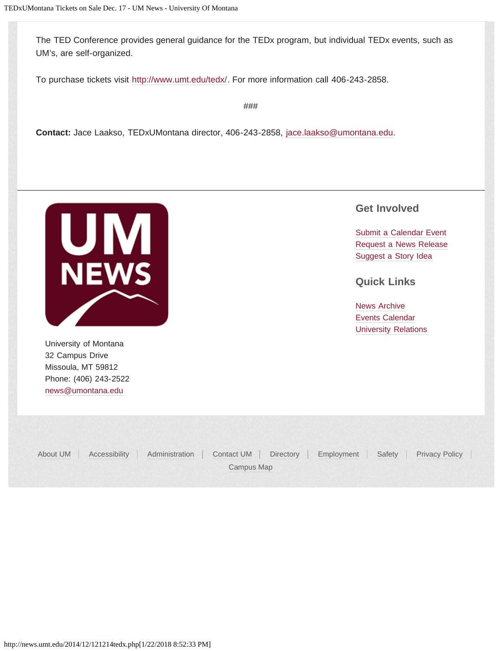The TED Conference provides general guidance for the TEDx program, but individual TEDx events, such as UM's, are self-organized.

To purchase tickets visit [http://www.umt.edu/tedx/.](http://www.umt.edu/tedx/) For more information call 406-243-2858.

###

**Contact:** Jace Laakso, TEDxUMontana director, 406-243-2858, [jace.laakso@umontana.edu.](mailto:jace.laakso@umontana.edu)

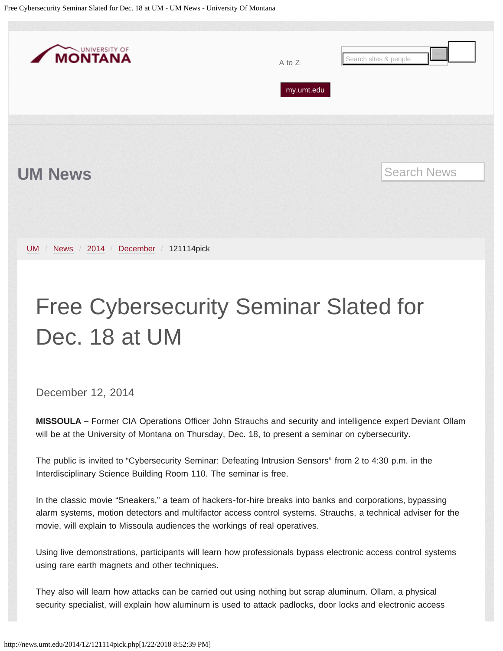<span id="page-23-0"></span>

### Free Cybersecurity Seminar Slated for Dec. 18 at UM

December 12, 2014

**MISSOULA –** Former CIA Operations Officer John Strauchs and security and intelligence expert Deviant Ollam will be at the University of Montana on Thursday, Dec. 18, to present a seminar on cybersecurity.

The public is invited to "Cybersecurity Seminar: Defeating Intrusion Sensors" from 2 to 4:30 p.m. in the Interdisciplinary Science Building Room 110. The seminar is free.

In the classic movie "Sneakers," a team of hackers-for-hire breaks into banks and corporations, bypassing alarm systems, motion detectors and multifactor access control systems. Strauchs, a technical adviser for the movie, will explain to Missoula audiences the workings of real operatives.

Using live demonstrations, participants will learn how professionals bypass electronic access control systems using rare earth magnets and other techniques.

They also will learn how attacks can be carried out using nothing but scrap aluminum. Ollam, a physical security specialist, will explain how aluminum is used to attack padlocks, door locks and electronic access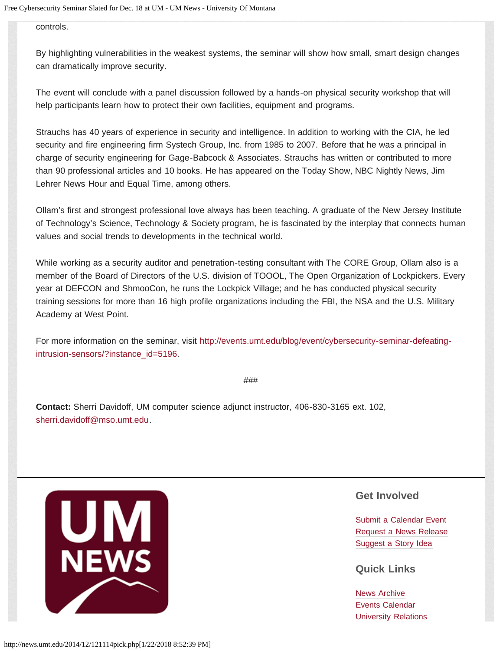controls.

By highlighting vulnerabilities in the weakest systems, the seminar will show how small, smart design changes can dramatically improve security.

The event will conclude with a panel discussion followed by a hands-on physical security workshop that will help participants learn how to protect their own facilities, equipment and programs.

Strauchs has 40 years of experience in security and intelligence. In addition to working with the CIA, he led security and fire engineering firm Systech Group, Inc. from 1985 to 2007. Before that he was a principal in charge of security engineering for Gage-Babcock & Associates. Strauchs has written or contributed to more than 90 professional articles and 10 books. He has appeared on the Today Show, NBC Nightly News, Jim Lehrer News Hour and Equal Time, among others.

Ollam's first and strongest professional love always has been teaching. A graduate of the New Jersey Institute of Technology's Science, Technology & Society program, he is fascinated by the interplay that connects human values and social trends to developments in the technical world.

While working as a security auditor and penetration-testing consultant with The CORE Group, Ollam also is a member of the Board of Directors of the U.S. division of TOOOL, The Open Organization of Lockpickers. Every year at DEFCON and ShmooCon, he runs the Lockpick Village; and he has conducted physical security training sessions for more than 16 high profile organizations including the FBI, the NSA and the U.S. Military Academy at West Point.

For more information on the seminar, visit [http://events.umt.edu/blog/event/cybersecurity-seminar-defeating](http://events/)[intrusion-sensors/?instance\\_id=5196.](http://events/)

###

**Contact:** Sherri Davidoff, UM computer science adjunct instructor, 406-830-3165 ext. 102, [sherri.davidoff@mso.umt.edu.](mailto:sherri.davidoff@mso.umt.edu)



#### **Get Involved**

[Submit a Calendar Event](http://umt.edu/urelations/info/submit_event.php) [Request a News Release](mailto:news@umontana.edu) [Suggest a Story Idea](mailto:thrive@umontana.edu)

#### **Quick Links**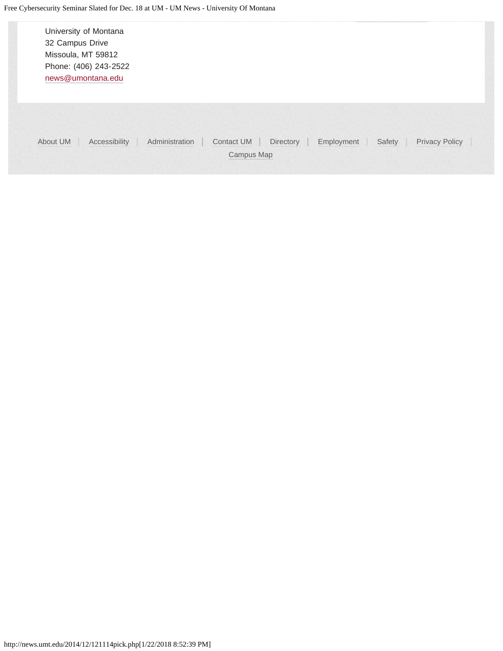| University of Montana |
|-----------------------|
| 32 Campus Drive       |
| Missoula, MT 59812    |
| Phone: (406) 243-2522 |
| news@umontana.edu     |
|                       |

| About UM | Accessibility Administration Contact UM Directory Employment Safety Privacy Policy |  |
|----------|------------------------------------------------------------------------------------|--|
|          | Campus Map                                                                         |  |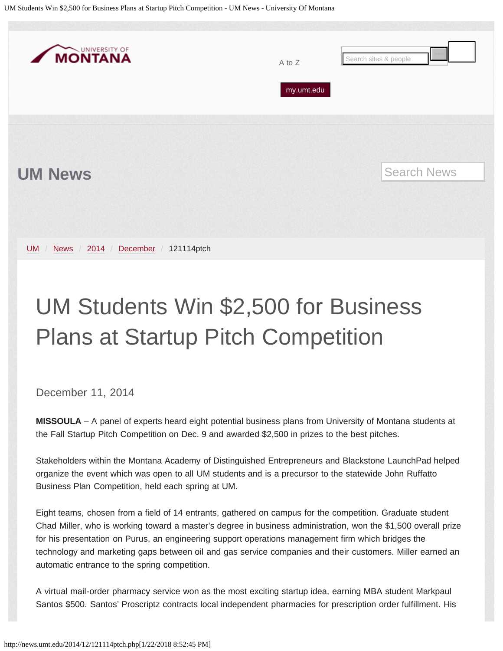<span id="page-26-0"></span>UM Students Win \$2,500 for Business Plans at Startup Pitch Competition - UM News - University Of Montana



# UM Students Win \$2,500 for Business Plans at Startup Pitch Competition

December 11, 2014

**MISSOULA** – A panel of experts heard eight potential business plans from University of Montana students at the Fall Startup Pitch Competition on Dec. 9 and awarded \$2,500 in prizes to the best pitches.

Stakeholders within the Montana Academy of Distinguished Entrepreneurs and Blackstone LaunchPad helped organize the event which was open to all UM students and is a precursor to the statewide John Ruffatto Business Plan Competition, held each spring at UM.

Eight teams, chosen from a field of 14 entrants, gathered on campus for the competition. Graduate student Chad Miller, who is working toward a master's degree in business administration, won the \$1,500 overall prize for his presentation on Purus, an engineering support operations management firm which bridges the technology and marketing gaps between oil and gas service companies and their customers. Miller earned an automatic entrance to the spring competition.

A virtual mail-order pharmacy service won as the most exciting startup idea, earning MBA student Markpaul Santos \$500. Santos' Proscriptz contracts local independent pharmacies for prescription order fulfillment. His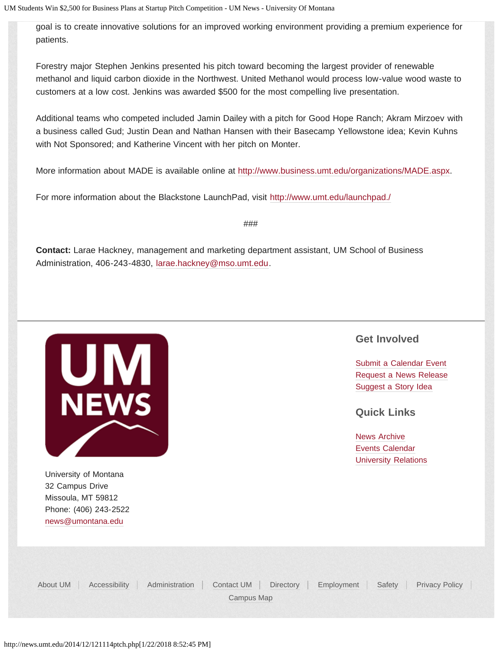goal is to create innovative solutions for an improved working environment providing a premium experience for patients.

Forestry major Stephen Jenkins presented his pitch toward becoming the largest provider of renewable methanol and liquid carbon dioxide in the Northwest. United Methanol would process low-value wood waste to customers at a low cost. Jenkins was awarded \$500 for the most compelling live presentation.

Additional teams who competed included Jamin Dailey with a pitch for Good Hope Ranch; Akram Mirzoev with a business called Gud; Justin Dean and Nathan Hansen with their Basecamp Yellowstone idea; Kevin Kuhns with Not Sponsored; and Katherine Vincent with her pitch on Monter.

More information about MADE is available online at [http://www.business.umt.edu/organizations/MADE.aspx.](http://www.business.umt.edu/organizations/MADE.aspx)

For more information about the Blackstone LaunchPad, visit <http://www.umt.edu/launchpad./>

###

**Contact:** Larae Hackney, management and marketing department assistant, UM School of Business Administration, 406-243-4830, [larae.hackney@mso.umt.edu](mailto:larae.hackney@mso.umt.edu).



University of Montana 32 Campus Drive Missoula, MT 59812 Phone: (406) 243-2522 [news@umontana.edu](mailto:news@umontana.edu)

#### **Get Involved**

[Submit a Calendar Event](http://umt.edu/urelations/info/submit_event.php) [Request a News Release](mailto:news@umontana.edu) [Suggest a Story Idea](mailto:thrive@umontana.edu)

#### **Quick Links**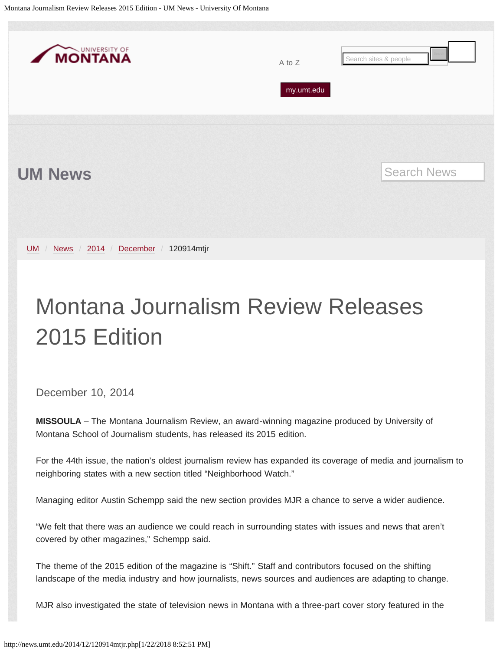<span id="page-28-0"></span>

### Montana Journalism Review Releases 2015 Edition

December 10, 2014

**MISSOULA** – The Montana Journalism Review, an award-winning magazine produced by University of Montana School of Journalism students, has released its 2015 edition.

For the 44th issue, the nation's oldest journalism review has expanded its coverage of media and journalism to neighboring states with a new section titled "Neighborhood Watch."

Managing editor Austin Schempp said the new section provides MJR a chance to serve a wider audience.

"We felt that there was an audience we could reach in surrounding states with issues and news that aren't covered by other magazines," Schempp said.

The theme of the 2015 edition of the magazine is "Shift." Staff and contributors focused on the shifting landscape of the media industry and how journalists, news sources and audiences are adapting to change.

MJR also investigated the state of television news in Montana with a three-part cover story featured in the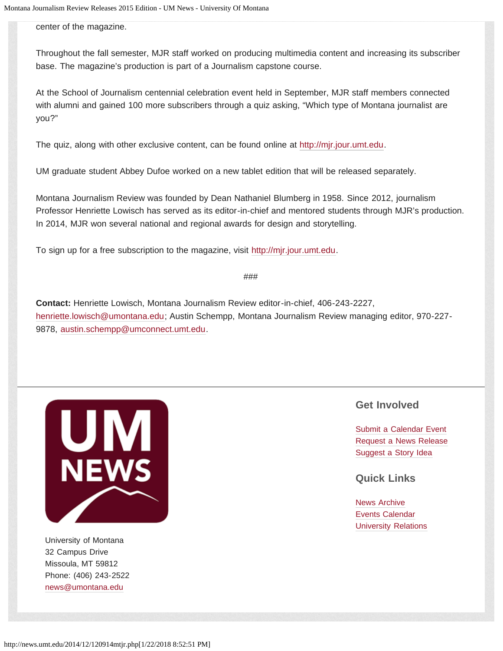center of the magazine.

Throughout the fall semester, MJR staff worked on producing multimedia content and increasing its subscriber base. The magazine's production is part of a Journalism capstone course.

At the School of Journalism centennial celebration event held in September, MJR staff members connected with alumni and gained 100 more subscribers through a quiz asking, "Which type of Montana journalist are you?"

The quiz, along with other exclusive content, can be found online at [http://mjr.jour.umt.edu.](http://mjr.jour.umt.edu/)

UM graduate student Abbey Dufoe worked on a new tablet edition that will be released separately.

Montana Journalism Review was founded by Dean Nathaniel Blumberg in 1958. Since 2012, journalism Professor Henriette Lowisch has served as its editor-in-chief and mentored students through MJR's production. In 2014, MJR won several national and regional awards for design and storytelling.

To sign up for a free subscription to the magazine, visit [http://mjr.jour.umt.edu](http://mjr.jour.umt.edu/).

###

**Contact:** Henriette Lowisch, Montana Journalism Review editor-in-chief, 406-243-2227, [henriette.lowisch@umontana.edu;](mailto:henriette.lowisch@umontana.edu) Austin Schempp, Montana Journalism Review managing editor, 970-227- 9878, [austin.schempp@umconnect.umt.edu.](mailto:austin.schempp@umconnect.umt.edu)



University of Montana 32 Campus Drive Missoula, MT 59812 Phone: (406) 243-2522 [news@umontana.edu](mailto:news@umontana.edu)

#### **Get Involved**

[Submit a Calendar Event](http://umt.edu/urelations/info/submit_event.php) [Request a News Release](mailto:news@umontana.edu) [Suggest a Story Idea](mailto:thrive@umontana.edu)

**Quick Links**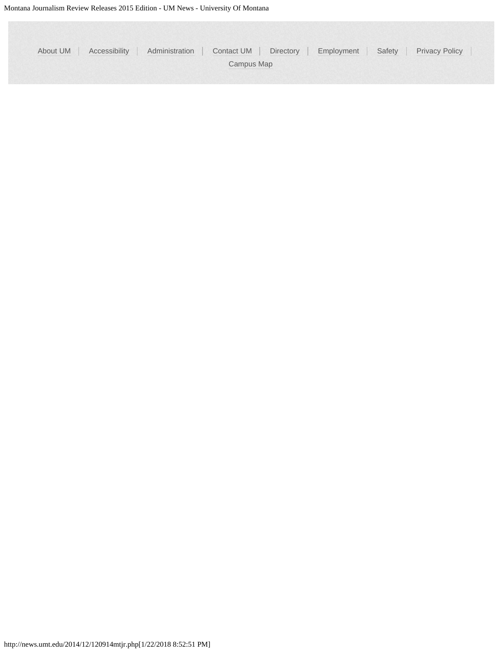| About UM | Accessibility Administration Contact UM Directory Employment Safety Privacy Policy |            |  |  |
|----------|------------------------------------------------------------------------------------|------------|--|--|
|          |                                                                                    | Campus Map |  |  |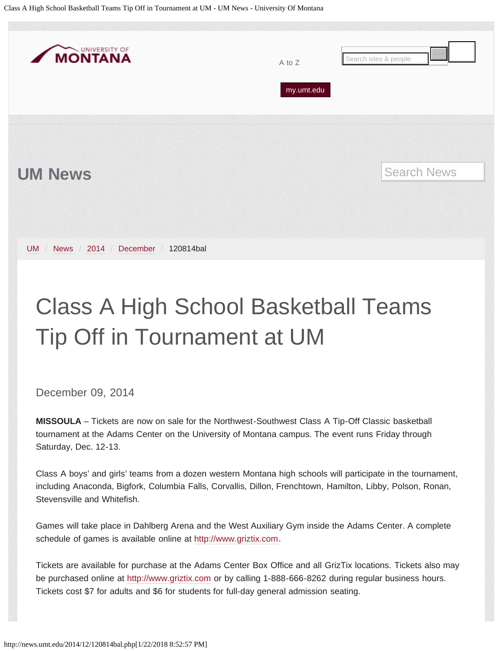<span id="page-31-0"></span>Class A High School Basketball Teams Tip Off in Tournament at UM - UM News - University Of Montana



### Class A High School Basketball Teams Tip Off in Tournament at UM

December 09, 2014

**MISSOULA** – Tickets are now on sale for the Northwest-Southwest Class A Tip-Off Classic basketball tournament at the Adams Center on the University of Montana campus. The event runs Friday through Saturday, Dec. 12-13.

Class A boys' and girls' teams from a dozen western Montana high schools will participate in the tournament, including Anaconda, Bigfork, Columbia Falls, Corvallis, Dillon, Frenchtown, Hamilton, Libby, Polson, Ronan, Stevensville and Whitefish.

Games will take place in Dahlberg Arena and the West Auxiliary Gym inside the Adams Center. A complete schedule of games is available online at [http://www.griztix.com.](http://www.griztix.com/)

Tickets are available for purchase at the Adams Center Box Office and all GrizTix locations. Tickets also may be purchased online at [http://www.griztix.com](http://www.griztix.com/) or by calling 1-888-666-8262 during regular business hours. Tickets cost \$7 for adults and \$6 for students for full-day general admission seating.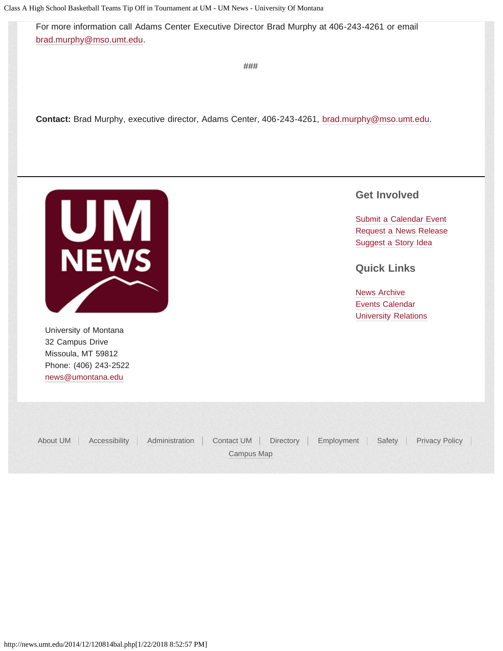For more information call Adams Center Executive Director Brad Murphy at 406-243-4261 or email [brad.murphy@mso.umt.edu.](mailto:brad.murphy@mso.umt.edu)

###

**Contact:** Brad Murphy, executive director, Adams Center, 406-243-4261, [brad.murphy@mso.umt.edu.](mailto:brad.murphy@mso.umt.edu)

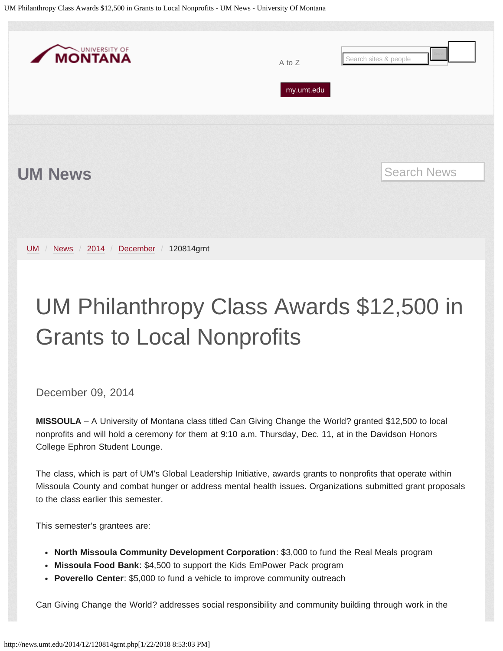<span id="page-33-0"></span>UM Philanthropy Class Awards \$12,500 in Grants to Local Nonprofits - UM News - University Of Montana



### UM Philanthropy Class Awards \$12,500 in Grants to Local Nonprofits

December 09, 2014

**MISSOULA** – A University of Montana class titled Can Giving Change the World? granted \$12,500 to local nonprofits and will hold a ceremony for them at 9:10 a.m. Thursday, Dec. 11, at in the Davidson Honors College Ephron Student Lounge.

The class, which is part of UM's Global Leadership Initiative, awards grants to nonprofits that operate within Missoula County and combat hunger or address mental health issues. Organizations submitted grant proposals to the class earlier this semester.

This semester's grantees are:

- **North Missoula Community Development Corporation**: \$3,000 to fund the Real Meals program
- **Missoula Food Bank**: \$4,500 to support the Kids EmPower Pack program
- **Poverello Center**: \$5,000 to fund a vehicle to improve community outreach

Can Giving Change the World? addresses social responsibility and community building through work in the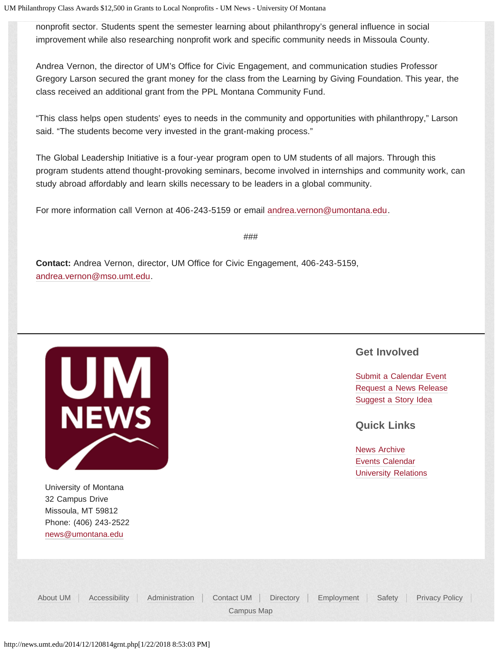nonprofit sector. Students spent the semester learning about philanthropy's general influence in social improvement while also researching nonprofit work and specific community needs in Missoula County.

Andrea Vernon, the director of UM's Office for Civic Engagement, and communication studies Professor Gregory Larson secured the grant money for the class from the Learning by Giving Foundation. This year, the class received an additional grant from the PPL Montana Community Fund.

"This class helps open students' eyes to needs in the community and opportunities with philanthropy," Larson said. "The students become very invested in the grant-making process."

The Global Leadership Initiative is a four-year program open to UM students of all majors. Through this program students attend thought-provoking seminars, become involved in internships and community work, can study abroad affordably and learn skills necessary to be leaders in a global community.

For more information call Vernon at 406-243-5159 or email [andrea.vernon@umontana.edu](mailto:andrea.vernon@umontana.edu).

###

**Contact:** Andrea Vernon, director, UM Office for Civic Engagement, 406-243-5159, [andrea.vernon@mso.umt.edu.](mailto:andrea.vernon@mso.umt.edu)



University of Montana 32 Campus Drive Missoula, MT 59812 Phone: (406) 243-2522 [news@umontana.edu](mailto:news@umontana.edu)

#### **Get Involved**

[Submit a Calendar Event](http://umt.edu/urelations/info/submit_event.php) [Request a News Release](mailto:news@umontana.edu) [Suggest a Story Idea](mailto:thrive@umontana.edu)

**Quick Links**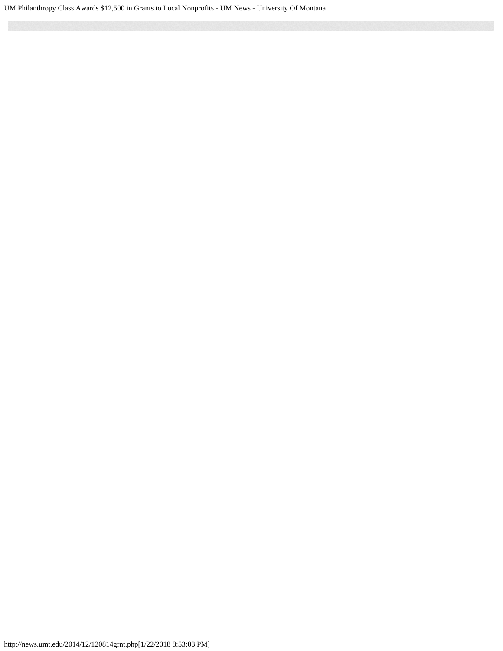UM Philanthropy Class Awards \$12,500 in Grants to Local Nonprofits - UM News - University Of Montana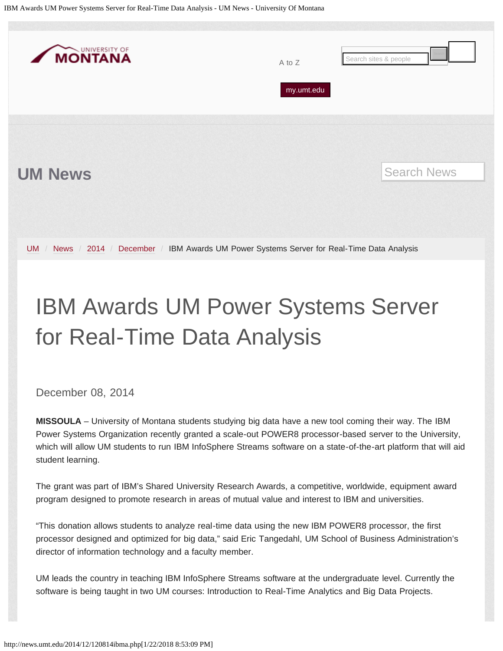<span id="page-36-0"></span>IBM Awards UM Power Systems Server for Real-Time Data Analysis - UM News - University Of Montana



## IBM Awards UM Power Systems Server for Real-Time Data Analysis

December 08, 2014

**MISSOULA** – University of Montana students studying big data have a new tool coming their way. The IBM Power Systems Organization recently granted a scale-out POWER8 processor-based server to the University, which will allow UM students to run IBM InfoSphere Streams software on a state-of-the-art platform that will aid student learning.

The grant was part of IBM's Shared University Research Awards, a competitive, worldwide, equipment award program designed to promote research in areas of mutual value and interest to IBM and universities.

"This donation allows students to analyze real-time data using the new IBM POWER8 processor, the first processor designed and optimized for big data," said Eric Tangedahl, UM School of Business Administration's director of information technology and a faculty member.

UM leads the country in teaching IBM InfoSphere Streams software at the undergraduate level. Currently the software is being taught in two UM courses: Introduction to Real-Time Analytics and Big Data Projects.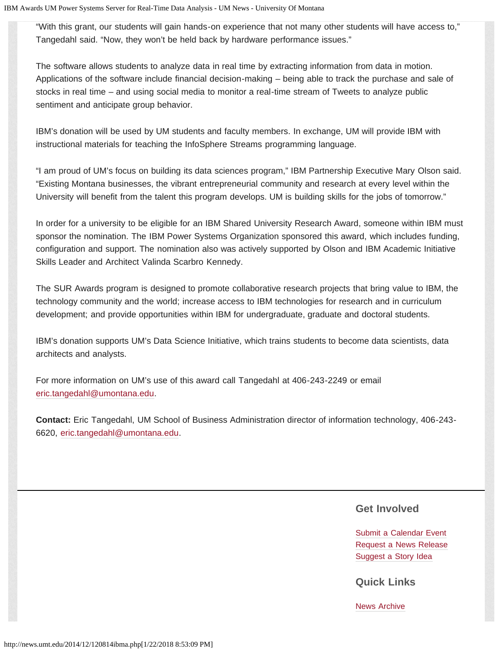"With this grant, our students will gain hands-on experience that not many other students will have access to," Tangedahl said. "Now, they won't be held back by hardware performance issues."

The software allows students to analyze data in real time by extracting information from data in motion. Applications of the software include financial decision-making – being able to track the purchase and sale of stocks in real time – and using social media to monitor a real-time stream of Tweets to analyze public sentiment and anticipate group behavior.

IBM's donation will be used by UM students and faculty members. In exchange, UM will provide IBM with instructional materials for teaching the InfoSphere Streams programming language.

"I am proud of UM's focus on building its data sciences program," IBM Partnership Executive Mary Olson said. "Existing Montana businesses, the vibrant entrepreneurial community and research at every level within the University will benefit from the talent this program develops. UM is building skills for the jobs of tomorrow."

In order for a university to be eligible for an IBM Shared University Research Award, someone within IBM must sponsor the nomination. The IBM Power Systems Organization sponsored this award, which includes funding, configuration and support. The nomination also was actively supported by Olson and IBM Academic Initiative Skills Leader and Architect Valinda Scarbro Kennedy.

The SUR Awards program is designed to promote collaborative research projects that bring value to IBM, the technology community and the world; increase access to IBM technologies for research and in curriculum development; and provide opportunities within IBM for undergraduate, graduate and doctoral students.

IBM's donation supports UM's Data Science Initiative, which trains students to become data scientists, data architects and analysts.

For more information on UM's use of this award call Tangedahl at 406-243-2249 or email [eric.tangedahl@umontana.edu.](mailto:eric.tangedahl@umontana.edu)

**Contact:** Eric Tangedahl, UM School of Business Administration director of information technology, 406-243- 6620, [eric.tangedahl@umontana.edu.](mailto:eric.tangedahl@umontana.edu)

#### **Get Involved**

[Submit a Calendar Event](http://umt.edu/urelations/info/submit_event.php) [Request a News Release](mailto:news@umontana.edu) [Suggest a Story Idea](mailto:thrive@umontana.edu)

**Quick Links**

[News Archive](http://www.umt.edu/urelations/pubs/NewsArchives.php)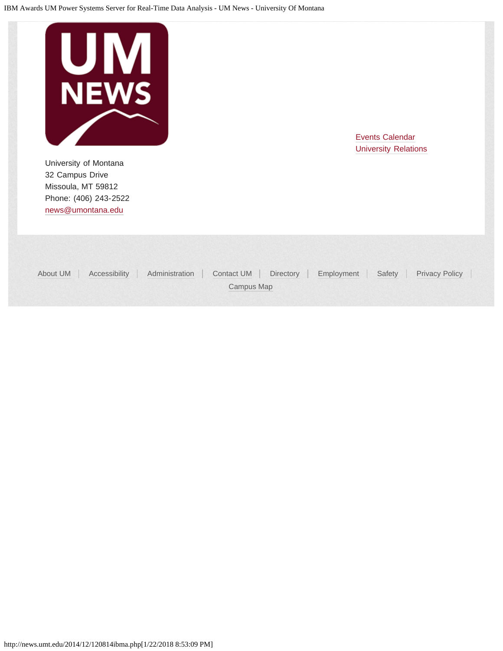

University of Montana 32 Campus Drive Missoula, MT 59812 Phone: (406) 243-2522 [news@umontana.edu](mailto:news@umontana.edu)

[Events Calendar](http://events.umt.edu/) [University Relations](http://www.umt.edu/urelations/)

| About UM | Accessibility Administration Contact UM Directory Employment Safety Privacy Policy |            |  |  |
|----------|------------------------------------------------------------------------------------|------------|--|--|
|          |                                                                                    | Campus Map |  |  |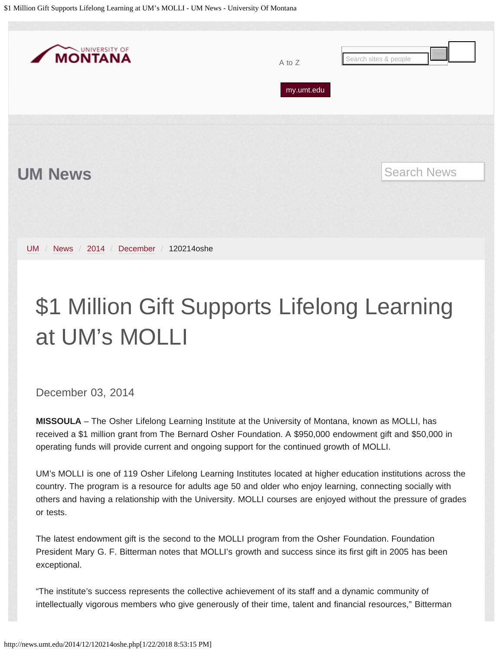<span id="page-39-0"></span>

# \$1 Million Gift Supports Lifelong Learning at UM's MOLLI

December 03, 2014

**MISSOULA** – The Osher Lifelong Learning Institute at the University of Montana, known as MOLLI, has received a \$1 million grant from The Bernard Osher Foundation. A \$950,000 endowment gift and \$50,000 in operating funds will provide current and ongoing support for the continued growth of MOLLI.

UM's MOLLI is one of 119 Osher Lifelong Learning Institutes located at higher education institutions across the country. The program is a resource for adults age 50 and older who enjoy learning, connecting socially with others and having a relationship with the University. MOLLI courses are enjoyed without the pressure of grades or tests.

The latest endowment gift is the second to the MOLLI program from the Osher Foundation. Foundation President Mary G. F. Bitterman notes that MOLLI's growth and success since its first gift in 2005 has been exceptional.

"The institute's success represents the collective achievement of its staff and a dynamic community of intellectually vigorous members who give generously of their time, talent and financial resources," Bitterman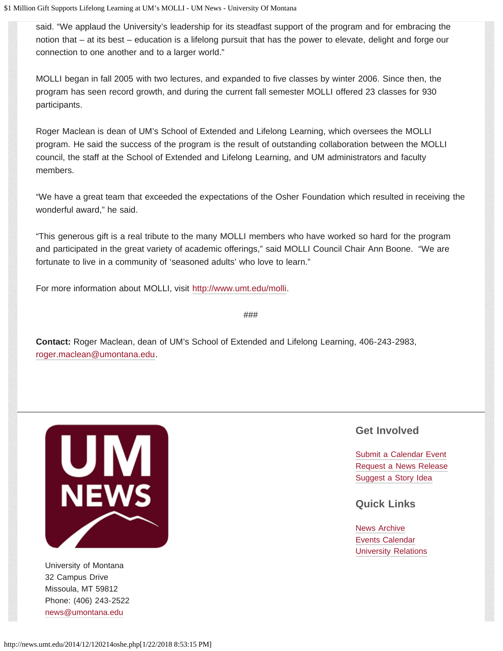said. "We applaud the University's leadership for its steadfast support of the program and for embracing the notion that – at its best – education is a lifelong pursuit that has the power to elevate, delight and forge our connection to one another and to a larger world."

MOLLI began in fall 2005 with two lectures, and expanded to five classes by winter 2006. Since then, the program has seen record growth, and during the current fall semester MOLLI offered 23 classes for 930 participants.

Roger Maclean is dean of UM's School of Extended and Lifelong Learning, which oversees the MOLLI program. He said the success of the program is the result of outstanding collaboration between the MOLLI council, the staff at the School of Extended and Lifelong Learning, and UM administrators and faculty members.

"We have a great team that exceeded the expectations of the Osher Foundation which resulted in receiving the wonderful award," he said.

"This generous gift is a real tribute to the many MOLLI members who have worked so hard for the program and participated in the great variety of academic offerings," said MOLLI Council Chair Ann Boone. "We are fortunate to live in a community of 'seasoned adults' who love to learn."

For more information about MOLLI, visit<http://www.umt.edu/molli>.

###

**Contact:** Roger Maclean, dean of UM's School of Extended and Lifelong Learning, 406-243-2983, [roger.maclean@umontana.edu.](mailto:roger.maclean@umontana.edu)



University of Montana 32 Campus Drive Missoula, MT 59812 Phone: (406) 243-2522 [news@umontana.edu](mailto:news@umontana.edu)

#### **Get Involved**

[Submit a Calendar Event](http://umt.edu/urelations/info/submit_event.php) [Request a News Release](mailto:news@umontana.edu) [Suggest a Story Idea](mailto:thrive@umontana.edu)

**Quick Links**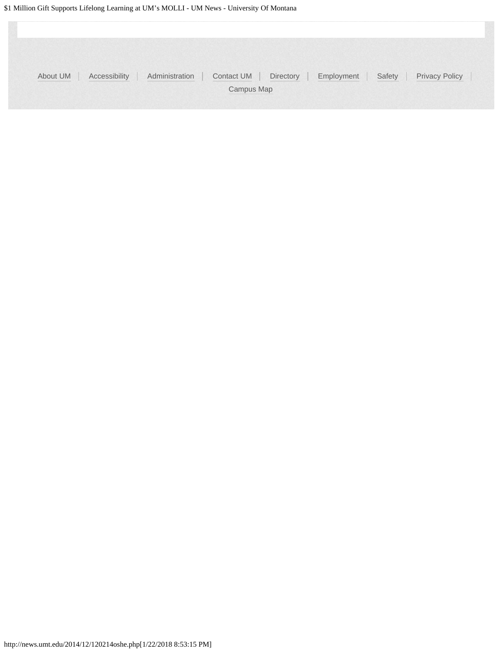| About UM | Accessibility | Administration | Contact UM | Directory | Employment | Safety | <b>Privacy Policy</b> |  |
|----------|---------------|----------------|------------|-----------|------------|--------|-----------------------|--|
|          |               |                | Campus Map |           |            |        |                       |  |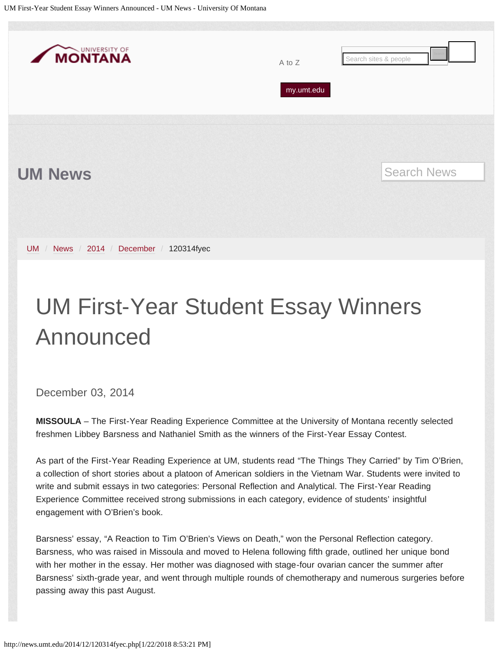<span id="page-42-0"></span>

## UM First-Year Student Essay Winners Announced

December 03, 2014

**MISSOULA** – The First-Year Reading Experience Committee at the University of Montana recently selected freshmen Libbey Barsness and Nathaniel Smith as the winners of the First-Year Essay Contest.

As part of the First-Year Reading Experience at UM, students read "The Things They Carried" by Tim O'Brien, a collection of short stories about a platoon of American soldiers in the Vietnam War. Students were invited to write and submit essays in two categories: Personal Reflection and Analytical. The First-Year Reading Experience Committee received strong submissions in each category, evidence of students' insightful engagement with O'Brien's book.

Barsness' essay, "A Reaction to Tim O'Brien's Views on Death," won the Personal Reflection category. Barsness, who was raised in Missoula and moved to Helena following fifth grade, outlined her unique bond with her mother in the essay. Her mother was diagnosed with stage-four ovarian cancer the summer after Barsness' sixth-grade year, and went through multiple rounds of chemotherapy and numerous surgeries before passing away this past August.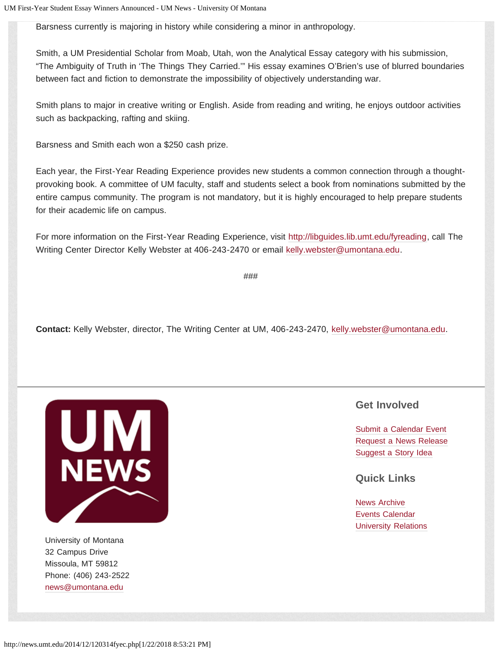Barsness currently is majoring in history while considering a minor in anthropology.

Smith, a UM Presidential Scholar from Moab, Utah, won the Analytical Essay category with his submission, "The Ambiguity of Truth in 'The Things They Carried.'" His essay examines O'Brien's use of blurred boundaries between fact and fiction to demonstrate the impossibility of objectively understanding war.

Smith plans to major in creative writing or English. Aside from reading and writing, he enjoys outdoor activities such as backpacking, rafting and skiing.

Barsness and Smith each won a \$250 cash prize.

Each year, the First-Year Reading Experience provides new students a common connection through a thoughtprovoking book. A committee of UM faculty, staff and students select a book from nominations submitted by the entire campus community. The program is not mandatory, but it is highly encouraged to help prepare students for their academic life on campus.

For more information on the First-Year Reading Experience, visit [http://libguides.lib.umt.edu/fyreading,](http://libguides.lib.umt.edu/fyreading) call The Writing Center Director Kelly Webster at 406-243-2470 or email [kelly.webster@umontana.edu.](mailto:kelly.webster@umontana.edu)

###

**Contact:** Kelly Webster, director, The Writing Center at UM, 406-243-2470, [kelly.webster@umontana.edu.](mailto:kelly.webster@umontana.edu)



University of Montana 32 Campus Drive Missoula, MT 59812 Phone: (406) 243-2522 [news@umontana.edu](mailto:news@umontana.edu)

**Get Involved**

[Submit a Calendar Event](http://umt.edu/urelations/info/submit_event.php) [Request a News Release](mailto:news@umontana.edu) [Suggest a Story Idea](mailto:thrive@umontana.edu)

**Quick Links**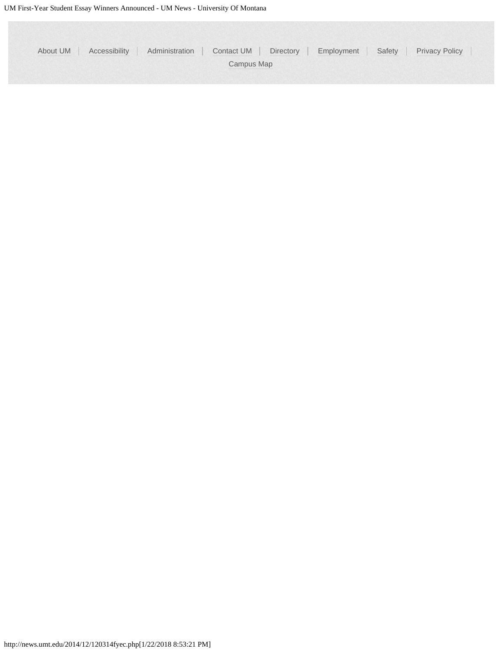| About UM | Accessibility | Administration Contact UM Directory | Employment   Safety | <b>Privacy Policy</b> |
|----------|---------------|-------------------------------------|---------------------|-----------------------|
|          |               | Campus Map                          |                     |                       |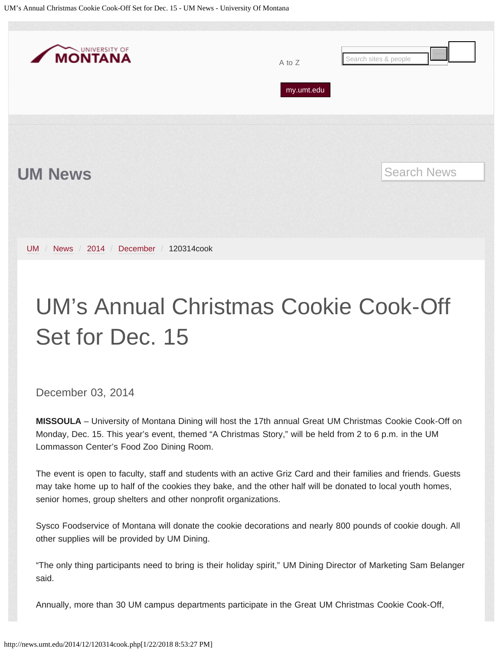<span id="page-45-0"></span>

# UM's Annual Christmas Cookie Cook-Off Set for Dec. 15

December 03, 2014

**MISSOULA** – University of Montana Dining will host the 17th annual Great UM Christmas Cookie Cook-Off on Monday, Dec. 15. This year's event, themed "A Christmas Story," will be held from 2 to 6 p.m. in the UM Lommasson Center's Food Zoo Dining Room.

The event is open to faculty, staff and students with an active Griz Card and their families and friends. Guests may take home up to half of the cookies they bake, and the other half will be donated to local youth homes, senior homes, group shelters and other nonprofit organizations.

Sysco Foodservice of Montana will donate the cookie decorations and nearly 800 pounds of cookie dough. All other supplies will be provided by UM Dining.

"The only thing participants need to bring is their holiday spirit," UM Dining Director of Marketing Sam Belanger said.

Annually, more than 30 UM campus departments participate in the Great UM Christmas Cookie Cook-Off,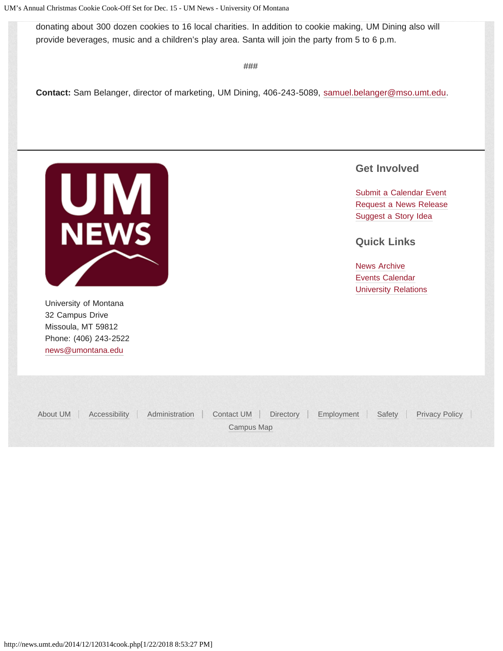donating about 300 dozen cookies to 16 local charities. In addition to cookie making, UM Dining also will provide beverages, music and a children's play area. Santa will join the party from 5 to 6 p.m.

###

**Contact:** Sam Belanger, director of marketing, UM Dining, 406-243-5089, [samuel.belanger@mso.umt.edu](mailto:samuel.belanger@mso.umt.edu).

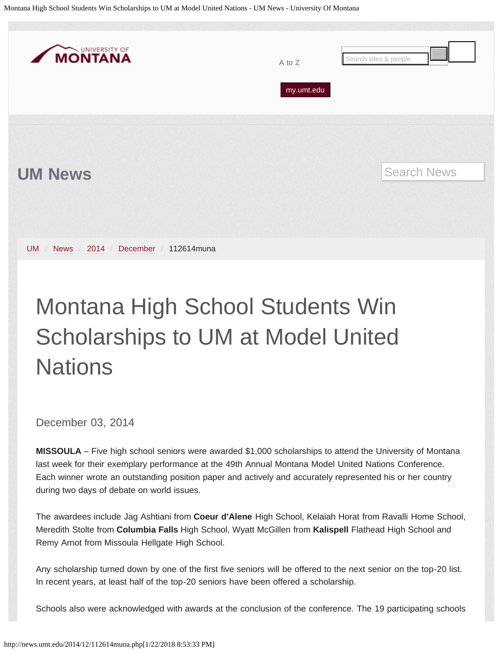<span id="page-47-0"></span>Montana High School Students Win Scholarships to UM at Model United Nations - UM News - University Of Montana



# Montana High School Students Win Scholarships to UM at Model United **Nations**

December 03, 2014

**MISSOULA** – Five high school seniors were awarded \$1,000 scholarships to attend the University of Montana last week for their exemplary performance at the 49th Annual Montana Model United Nations Conference. Each winner wrote an outstanding position paper and actively and accurately represented his or her country during two days of debate on world issues.

The awardees include Jag Ashtiani from **Coeur d'Alene** High School, Kelaiah Horat from Ravalli Home School, Meredith Stolte from **Columbia Falls** High School, Wyatt McGillen from **Kalispell** Flathead High School and Remy Arnot from Missoula Hellgate High School.

Any scholarship turned down by one of the first five seniors will be offered to the next senior on the top-20 list. In recent years, at least half of the top-20 seniors have been offered a scholarship.

Schools also were acknowledged with awards at the conclusion of the conference. The 19 participating schools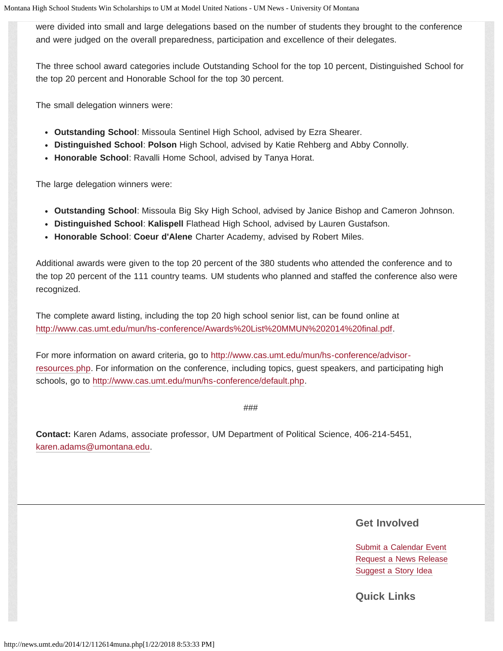were divided into small and large delegations based on the number of students they brought to the conference and were judged on the overall preparedness, participation and excellence of their delegates.

The three school award categories include Outstanding School for the top 10 percent, Distinguished School for the top 20 percent and Honorable School for the top 30 percent.

The small delegation winners were:

- **Outstanding School**: Missoula Sentinel High School, advised by Ezra Shearer.
- **Distinguished School**: **Polson** High School, advised by Katie Rehberg and Abby Connolly.
- **Honorable School**: Ravalli Home School, advised by Tanya Horat.

The large delegation winners were:

- **Outstanding School**: Missoula Big Sky High School, advised by Janice Bishop and Cameron Johnson.
- **Distinguished School**: **Kalispell** Flathead High School, advised by Lauren Gustafson.
- **Honorable School**: **Coeur d'Alene** Charter Academy, advised by Robert Miles.

Additional awards were given to the top 20 percent of the 380 students who attended the conference and to the top 20 percent of the 111 country teams. UM students who planned and staffed the conference also were recognized.

The complete award listing, including the top 20 high school senior list, can be found online at [http://www.cas.umt.edu/mun/hs-conference/Awards%20List%20MMUN%202014%20final.pdf.](http://www.cas.umt.edu/mun/hs-conference/Awards%20List%20MMUN%202014%20final.pdf)

For more information on award criteria, go to [http://www.cas.umt.edu/mun/hs-conference/advisor](http://www.cas.umt.edu/mun/hs-conference/advisor-resources.php)[resources.php.](http://www.cas.umt.edu/mun/hs-conference/advisor-resources.php) For information on the conference, including topics, guest speakers, and participating high schools, go to [http://www.cas.umt.edu/mun/hs-conference/default.php.](http://www.cas.umt.edu/mun/hs-conference/default.php)

###

**Contact:** Karen Adams, associate professor, UM Department of Political Science, 406-214-5451, [karen.adams@umontana.edu.](mailto:karen.adams@umontana.edu)

#### **Get Involved**

[Submit a Calendar Event](http://umt.edu/urelations/info/submit_event.php) [Request a News Release](mailto:news@umontana.edu) [Suggest a Story Idea](mailto:thrive@umontana.edu)

**Quick Links**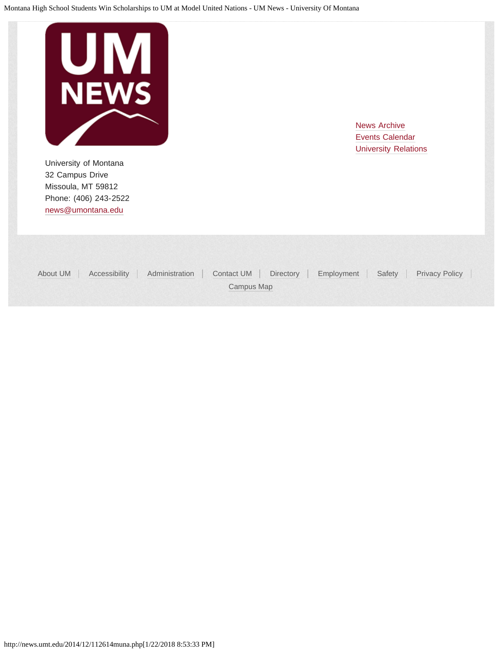

University of Montana 32 Campus Drive Missoula, MT 59812 Phone: (406) 243-2522 [news@umontana.edu](mailto:news@umontana.edu)

| About UM   Accessibility   Administration   Contact UM   Directory   Employment   Safety   Privacy Policy |            |  |  |
|-----------------------------------------------------------------------------------------------------------|------------|--|--|
|                                                                                                           | Campus Map |  |  |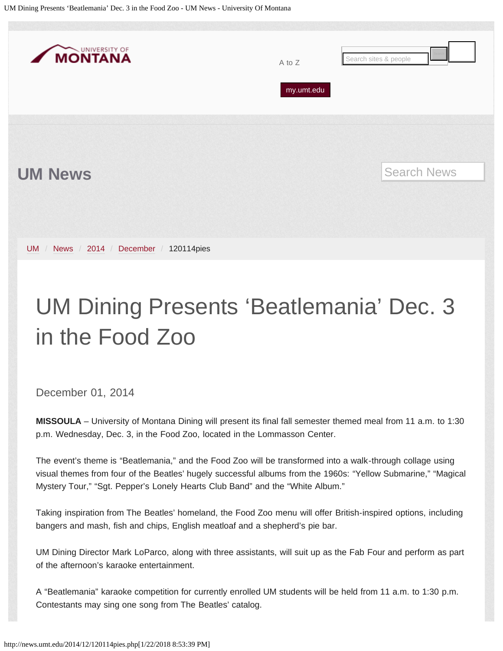<span id="page-50-0"></span>

# UM Dining Presents 'Beatlemania' Dec. 3 in the Food Zoo

December 01, 2014

**MISSOULA** – University of Montana Dining will present its final fall semester themed meal from 11 a.m. to 1:30 p.m. Wednesday, Dec. 3, in the Food Zoo, located in the Lommasson Center.

The event's theme is "Beatlemania," and the Food Zoo will be transformed into a walk-through collage using visual themes from four of the Beatles' hugely successful albums from the 1960s: "Yellow Submarine," "Magical Mystery Tour," "Sgt. Pepper's Lonely Hearts Club Band" and the "White Album."

Taking inspiration from The Beatles' homeland, the Food Zoo menu will offer British-inspired options, including bangers and mash, fish and chips, English meatloaf and a shepherd's pie bar.

UM Dining Director Mark LoParco, along with three assistants, will suit up as the Fab Four and perform as part of the afternoon's karaoke entertainment.

A "Beatlemania" karaoke competition for currently enrolled UM students will be held from 11 a.m. to 1:30 p.m. Contestants may sing one song from The Beatles' catalog.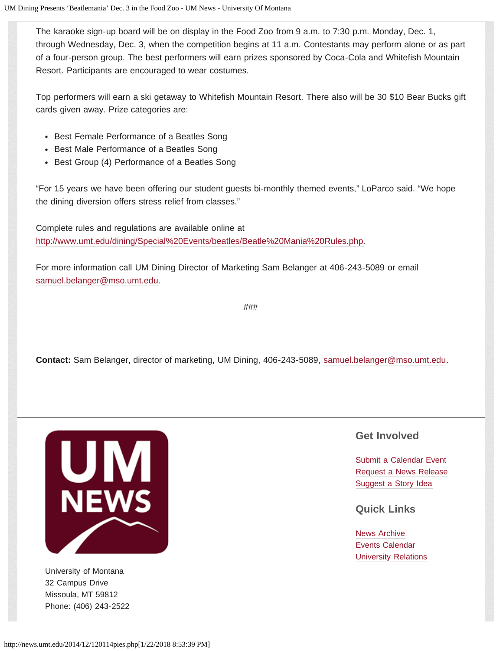The karaoke sign-up board will be on display in the Food Zoo from 9 a.m. to 7:30 p.m. Monday, Dec. 1, through Wednesday, Dec. 3, when the competition begins at 11 a.m. Contestants may perform alone or as part of a four-person group. The best performers will earn prizes sponsored by Coca-Cola and Whitefish Mountain Resort. Participants are encouraged to wear costumes.

Top performers will earn a ski getaway to Whitefish Mountain Resort. There also will be 30 \$10 Bear Bucks gift cards given away. Prize categories are:

- Best Female Performance of a Beatles Song
- Best Male Performance of a Beatles Song
- Best Group (4) Performance of a Beatles Song

"For 15 years we have been offering our student guests bi-monthly themed events," LoParco said. "We hope the dining diversion offers stress relief from classes."

Complete rules and regulations are available online at [http://www.umt.edu/dining/Special%20Events/beatles/Beatle%20Mania%20Rules.php.](http://www.umt.edu/dining/Special%20Events/beatles/Beatle%20Mania%20Rules.php)

For more information call UM Dining Director of Marketing Sam Belanger at 406-243-5089 or email [samuel.belanger@mso.umt.edu.](mailto:samuel.belanger@mso.umt.edu)

###

**Contact:** Sam Belanger, director of marketing, UM Dining, 406-243-5089, [samuel.belanger@mso.umt.edu](mailto:samuel.belanger@mso.umt.edu).



University of Montana 32 Campus Drive Missoula, MT 59812 Phone: (406) 243-2522

#### **Get Involved**

[Submit a Calendar Event](http://umt.edu/urelations/info/submit_event.php) [Request a News Release](mailto:news@umontana.edu) [Suggest a Story Idea](mailto:thrive@umontana.edu)

**Quick Links**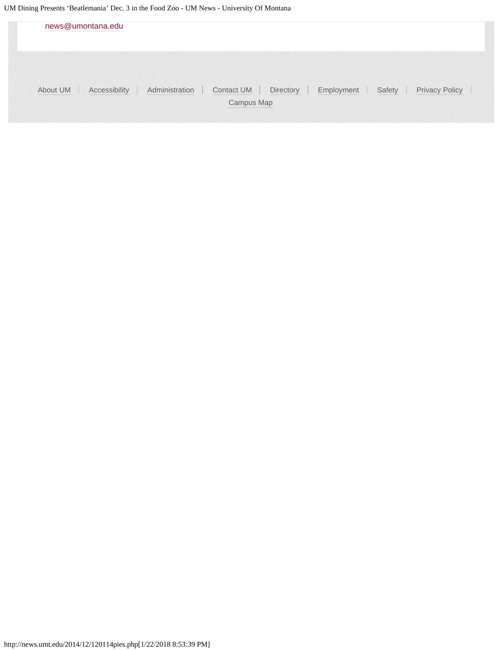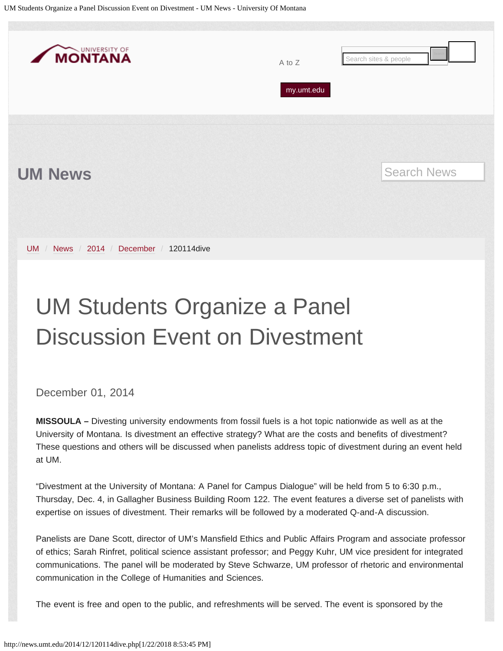<span id="page-53-0"></span>

### UM Students Organize a Panel Discussion Event on Divestment

December 01, 2014

**MISSOULA –** Divesting university endowments from fossil fuels is a hot topic nationwide as well as at the University of Montana. Is divestment an effective strategy? What are the costs and benefits of divestment? These questions and others will be discussed when panelists address topic of divestment during an event held at UM.

"Divestment at the University of Montana: A Panel for Campus Dialogue" will be held from 5 to 6:30 p.m., Thursday, Dec. 4, in Gallagher Business Building Room 122. The event features a diverse set of panelists with expertise on issues of divestment. Their remarks will be followed by a moderated Q-and-A discussion.

Panelists are Dane Scott, director of UM's Mansfield Ethics and Public Affairs Program and associate professor of ethics; Sarah Rinfret, political science assistant professor; and Peggy Kuhr, UM vice president for integrated communications. The panel will be moderated by Steve Schwarze, UM professor of rhetoric and environmental communication in the College of Humanities and Sciences.

The event is free and open to the public, and refreshments will be served. The event is sponsored by the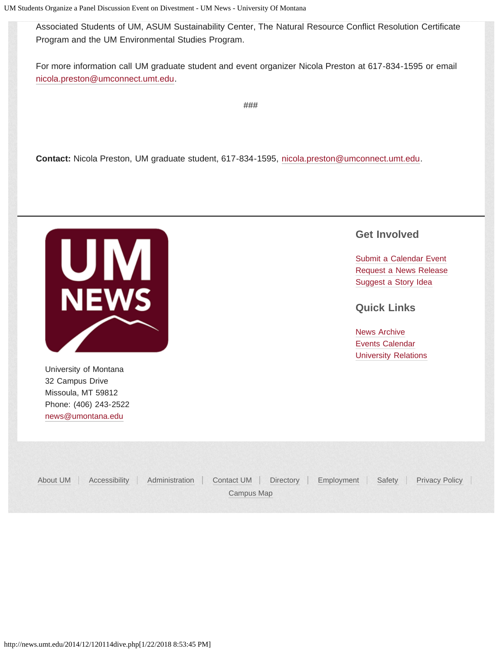Associated Students of UM, ASUM Sustainability Center, The Natural Resource Conflict Resolution Certificate Program and the UM Environmental Studies Program.

For more information call UM graduate student and event organizer Nicola Preston at 617-834-1595 or email [nicola.preston@umconnect.umt.edu.](mailto:nicola.preston@umconnect.umt.edu)

###

**Contact:** Nicola Preston, UM graduate student, 617-834-1595, [nicola.preston@umconnect.umt.edu.](mailto:nicola.preston@umconnect.umt.edu)



University of Montana 32 Campus Drive Missoula, MT 59812 Phone: (406) 243-2522 [news@umontana.edu](mailto:news@umontana.edu)

#### **Get Involved**

[Submit a Calendar Event](http://umt.edu/urelations/info/submit_event.php) [Request a News Release](mailto:news@umontana.edu) [Suggest a Story Idea](mailto:thrive@umontana.edu)

**Quick Links**

| About UM   Accessibility   Administration   Contact UM   Directory   Employment   Safety   Privacy Policy |            |  |  |
|-----------------------------------------------------------------------------------------------------------|------------|--|--|
|                                                                                                           | Campus Map |  |  |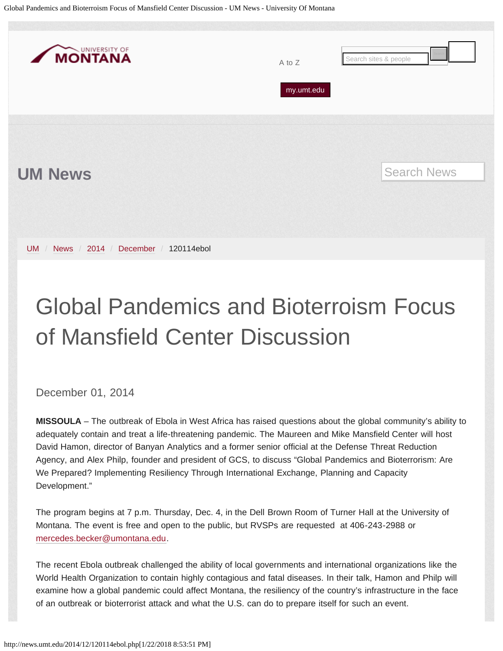<span id="page-55-0"></span>Global Pandemics and Bioterroism Focus of Mansfield Center Discussion - UM News - University Of Montana



### Global Pandemics and Bioterroism Focus of Mansfield Center Discussion

December 01, 2014

**MISSOULA** – The outbreak of Ebola in West Africa has raised questions about the global community's ability to adequately contain and treat a life-threatening pandemic. The Maureen and Mike Mansfield Center will host David Hamon, director of Banyan Analytics and a former senior official at the Defense Threat Reduction Agency, and Alex Philp, founder and president of GCS, to discuss "Global Pandemics and Bioterrorism: Are We Prepared? Implementing Resiliency Through International Exchange, Planning and Capacity Development."

The program begins at 7 p.m. Thursday, Dec. 4, in the Dell Brown Room of Turner Hall at the University of Montana. The event is free and open to the public, but RVSPs are requested at 406-243-2988 or [mercedes.becker@umontana.edu.](mailto:mercedes.becker@umontana.edu)

The recent Ebola outbreak challenged the ability of local governments and international organizations like the World Health Organization to contain highly contagious and fatal diseases. In their talk, Hamon and Philp will examine how a global pandemic could affect Montana, the resiliency of the country's infrastructure in the face of an outbreak or bioterrorist attack and what the U.S. can do to prepare itself for such an event.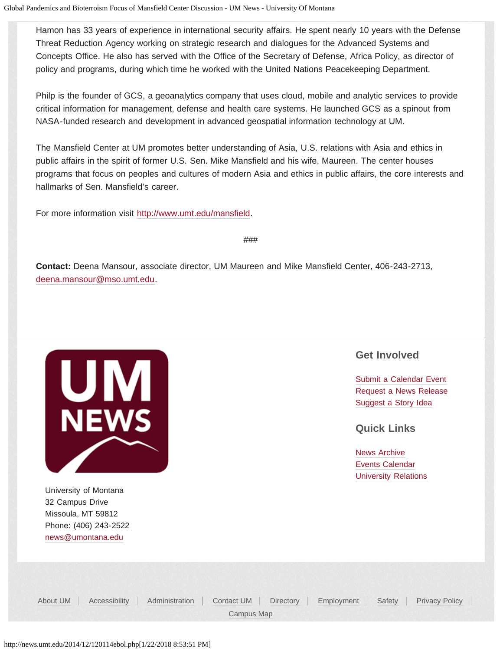Hamon has 33 years of experience in international security affairs. He spent nearly 10 years with the Defense Threat Reduction Agency working on strategic research and dialogues for the Advanced Systems and Concepts Office. He also has served with the Office of the Secretary of Defense, Africa Policy, as director of policy and programs, during which time he worked with the United Nations Peacekeeping Department.

Philp is the founder of GCS, a geoanalytics company that uses cloud, mobile and analytic services to provide critical information for management, defense and health care systems. He launched GCS as a spinout from NASA-funded research and development in advanced geospatial information technology at UM.

The Mansfield Center at UM promotes better understanding of Asia, U.S. relations with Asia and ethics in public affairs in the spirit of former U.S. Sen. Mike Mansfield and his wife, Maureen. The center houses programs that focus on peoples and cultures of modern Asia and ethics in public affairs, the core interests and hallmarks of Sen. Mansfield's career.

For more information visit [http://www.umt.edu/mansfield.](http://www.umt.edu/mansfield)

###

**Contact:** Deena Mansour, associate director, UM Maureen and Mike Mansfield Center, 406-243-2713, [deena.mansour@mso.umt.edu.](mailto:deena.mansour@mso.umt.edu)



University of Montana 32 Campus Drive Missoula, MT 59812 Phone: (406) 243-2522 [news@umontana.edu](mailto:news@umontana.edu)

#### **Get Involved**

[Submit a Calendar Event](http://umt.edu/urelations/info/submit_event.php) [Request a News Release](mailto:news@umontana.edu) [Suggest a Story Idea](mailto:thrive@umontana.edu)

**Quick Links**

[News Archive](http://www.umt.edu/urelations/pubs/NewsArchives.php) [Events Calendar](http://events.umt.edu/) [University Relations](http://www.umt.edu/urelations/)

[About UM](http://www.umt.edu/about) [Accessibility](http://www.umt.edu/accessibility/) [Administration](http://www.umt.edu/administration) [Contact UM](http://www.umt.edu/comments) [Directory](http://www.umt.edu/directory) [Employment](http://www.umt.edu/jobs) [Safety](http://www.umt.edu/safety/) [Privacy Policy](http://umt.edu/privacy/)

[Campus Map](http://map.umt.edu/)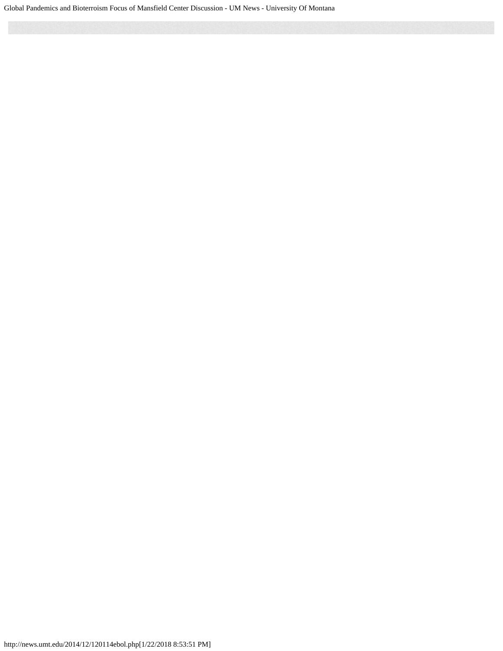Global Pandemics and Bioterroism Focus of Mansfield Center Discussion - UM News - University Of Montana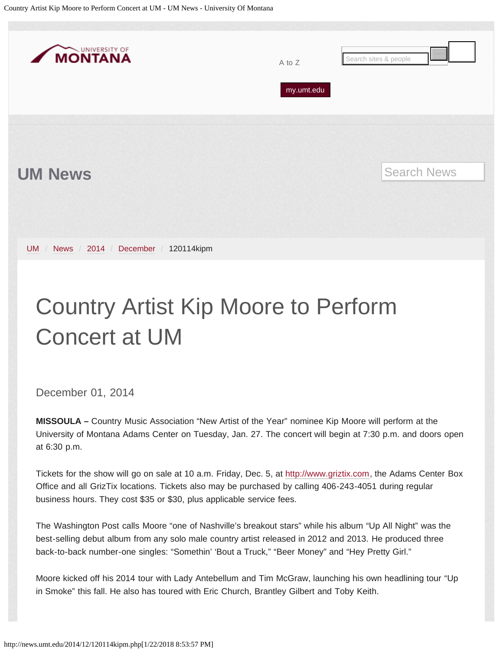<span id="page-58-0"></span>

### Country Artist Kip Moore to Perform Concert at UM

December 01, 2014

**MISSOULA –** Country Music Association "New Artist of the Year" nominee Kip Moore will perform at the University of Montana Adams Center on Tuesday, Jan. 27. The concert will begin at 7:30 p.m. and doors open at 6:30 p.m.

Tickets for the show will go on sale at 10 a.m. Friday, Dec. 5, at [http://www.griztix.com,](http://www.griztix.com/) the Adams Center Box Office and all GrizTix locations. Tickets also may be purchased by calling 406-243-4051 during regular business hours. They cost \$35 or \$30, plus applicable service fees.

The Washington Post calls Moore "one of Nashville's breakout stars" while his album "Up All Night" was the best-selling debut album from any solo male country artist released in 2012 and 2013. He produced three back-to-back number-one singles: "Somethin' 'Bout a Truck," "Beer Money" and "Hey Pretty Girl."

Moore kicked off his 2014 tour with Lady Antebellum and Tim McGraw, launching his own headlining tour "Up in Smoke" this fall. He also has toured with Eric Church, Brantley Gilbert and Toby Keith.